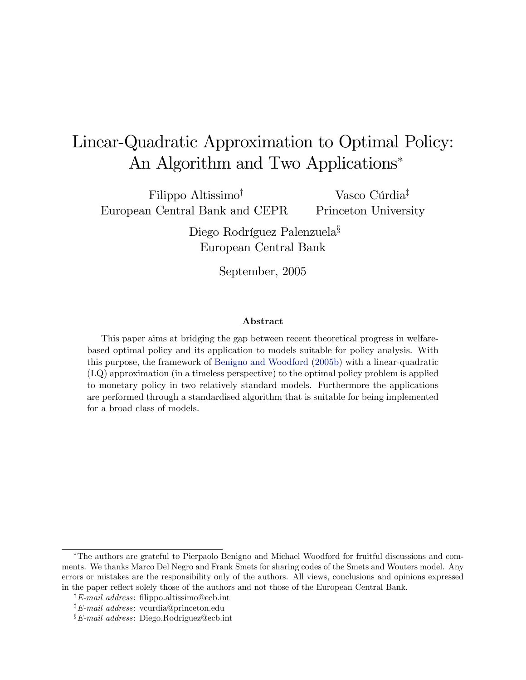# Linear-Quadratic Approximation to Optimal Policy: An Algorithm and Two Applications

Filippo Altissimo<sup>†</sup> European Central Bank and CEPR

Vasco Cúrdia<sup>‡</sup> Princeton University

Diego Rodríguez Palenzuela<sup>§</sup> European Central Bank

September, 2005

#### Abstract

This paper aims at bridging the gap between recent theoretical progress in welfarebased optimal policy and its application to models suitable for policy analysis. With this purpose, the framework of [Benigno and Woodford](#page-29-0) [\(2005b\)](#page-29-0) with a linear-quadratic (LQ) approximation (in a timeless perspective) to the optimal policy problem is applied to monetary policy in two relatively standard models. Furthermore the applications are performed through a standardised algorithm that is suitable for being implemented for a broad class of models.

The authors are grateful to Pierpaolo Benigno and Michael Woodford for fruitful discussions and comments. We thanks Marco Del Negro and Frank Smets for sharing codes of the Smets and Wouters model. Any errors or mistakes are the responsibility only of the authors. All views, conclusions and opinions expressed in the paper reflect solely those of the authors and not those of the European Central Bank.

<sup>&</sup>lt;sup>†</sup>E-mail address: filippo.altissimo@ecb.int

<sup>&</sup>lt;sup>‡</sup>E-mail address: vcurdia@princeton.edu

 $\S E$ -mail address: Diego.Rodriguez@ecb.int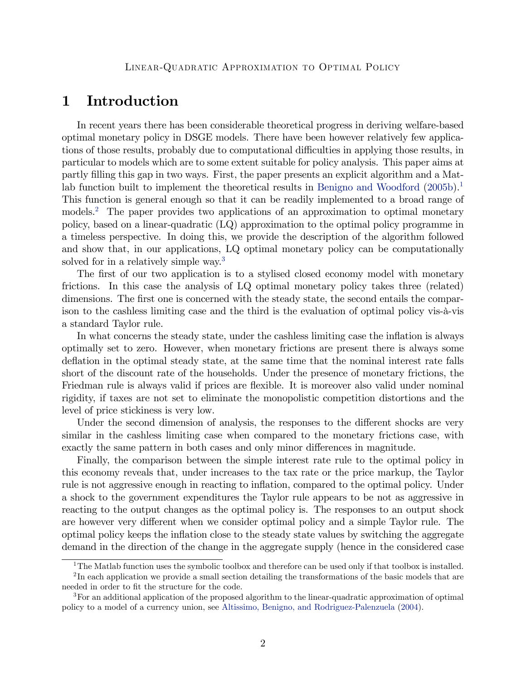# 1 Introduction

In recent years there has been considerable theoretical progress in deriving welfare-based optimal monetary policy in DSGE models. There have been however relatively few applications of those results, probably due to computational difficulties in applying those results, in particular to models which are to some extent suitable for policy analysis. This paper aims at partly Ölling this gap in two ways. First, the paper presents an explicit algorithm and a Mat-lab function built to implement the theoretical results in [Benigno and Woodford](#page-29-0)  $(2005b)^{1}$  $(2005b)^{1}$  $(2005b)^{1}$  $(2005b)^{1}$ . This function is general enough so that it can be readily implemented to a broad range of models.<sup>[2](#page-1-1)</sup> The paper provides two applications of an approximation to optimal monetary policy, based on a linear-quadratic (LQ) approximation to the optimal policy programme in a timeless perspective. In doing this, we provide the description of the algorithm followed and show that, in our applications, LQ optimal monetary policy can be computationally solved for in a relatively simple way.<sup>[3](#page-1-2)</sup>

The first of our two application is to a stylised closed economy model with monetary frictions. In this case the analysis of LQ optimal monetary policy takes three (related) dimensions. The first one is concerned with the steady state, the second entails the comparison to the cashless limiting case and the third is the evaluation of optimal policy vis- $\hat{a}$ -vis a standard Taylor rule.

In what concerns the steady state, under the cashless limiting case the inflation is always optimally set to zero. However, when monetary frictions are present there is always some deflation in the optimal steady state, at the same time that the nominal interest rate falls short of the discount rate of the households. Under the presence of monetary frictions, the Friedman rule is always valid if prices are flexible. It is moreover also valid under nominal rigidity, if taxes are not set to eliminate the monopolistic competition distortions and the level of price stickiness is very low.

Under the second dimension of analysis, the responses to the different shocks are very similar in the cashless limiting case when compared to the monetary frictions case, with exactly the same pattern in both cases and only minor differences in magnitude.

Finally, the comparison between the simple interest rate rule to the optimal policy in this economy reveals that, under increases to the tax rate or the price markup, the Taylor rule is not aggressive enough in reacting to inflation, compared to the optimal policy. Under a shock to the government expenditures the Taylor rule appears to be not as aggressive in reacting to the output changes as the optimal policy is. The responses to an output shock are however very different when we consider optimal policy and a simple Taylor rule. The optimal policy keeps the ináation close to the steady state values by switching the aggregate demand in the direction of the change in the aggregate supply (hence in the considered case

<span id="page-1-1"></span><span id="page-1-0"></span><sup>&</sup>lt;sup>1</sup>The Matlab function uses the symbolic toolbox and therefore can be used only if that toolbox is installed.

 $2<sup>2</sup>$ In each application we provide a small section detailing the transformations of the basic models that are needed in order to fit the structure for the code.

<span id="page-1-2"></span><sup>&</sup>lt;sup>3</sup>For an additional application of the proposed algorithm to the linear-quadratic approximation of optimal policy to a model of a currency union, see [Altissimo, Benigno, and Rodriguez-Palenzuela](#page-29-1) [\(2004\)](#page-29-1).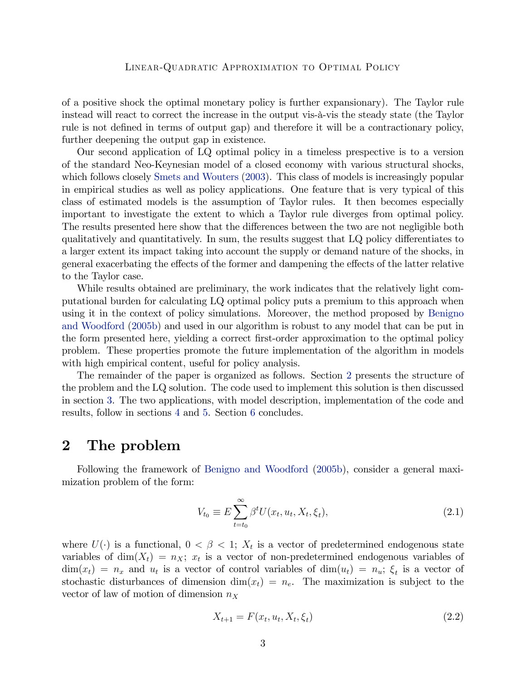of a positive shock the optimal monetary policy is further expansionary). The Taylor rule instead will react to correct the increase in the output vis- $\hat{a}$ -vis the steady state (the Taylor rule is not defined in terms of output gap) and therefore it will be a contractionary policy, further deepening the output gap in existence.

Our second application of LQ optimal policy in a timeless prespective is to a version of the standard Neo-Keynesian model of a closed economy with various structural shocks, which follows closely [Smets and Wouters](#page-29-2)  $(2003)$ . This class of models is increasingly popular in empirical studies as well as policy applications. One feature that is very typical of this class of estimated models is the assumption of Taylor rules. It then becomes especially important to investigate the extent to which a Taylor rule diverges from optimal policy. The results presented here show that the differences between the two are not negligible both qualitatively and quantitatively. In sum, the results suggest that  $LQ$  policy differentiates to a larger extent its impact taking into account the supply or demand nature of the shocks, in general exacerbating the effects of the former and dampening the effects of the latter relative to the Taylor case.

While results obtained are preliminary, the work indicates that the relatively light computational burden for calculating LQ optimal policy puts a premium to this approach when using it in the context of policy simulations. Moreover, the method proposed by [Benigno](#page-29-0) [and Woodford](#page-29-0) [\(2005b\)](#page-29-0) and used in our algorithm is robust to any model that can be put in the form presented here, yielding a correct Örst-order approximation to the optimal policy problem. These properties promote the future implementation of the algorithm in models with high empirical content, useful for policy analysis.

The remainder of the paper is organized as follows. Section [2](#page-2-0) presents the structure of the problem and the LQ solution. The code used to implement this solution is then discussed in section [3.](#page-5-0) The two applications, with model description, implementation of the code and results, follow in sections [4](#page-9-0) and [5.](#page-19-0) Section [6](#page-28-0) concludes.

### <span id="page-2-0"></span>2 The problem

Following the framework of [Benigno and Woodford](#page-29-0) [\(2005b\)](#page-29-0), consider a general maximization problem of the form:

<span id="page-2-1"></span>
$$
V_{t_0} \equiv E \sum_{t=t_0}^{\infty} \beta^t U(x_t, u_t, X_t, \xi_t), \qquad (2.1)
$$

where  $U(\cdot)$  is a functional,  $0 < \beta < 1$ ;  $X_t$  is a vector of predetermined endogenous state variables of  $\dim(X_t) = n_X$ ;  $x_t$  is a vector of non-predetermined endogenous variables of  $\dim(x_t) = n_x$  and  $u_t$  is a vector of control variables of  $\dim(u_t) = n_u$ ;  $\xi_t$  is a vector of stochastic disturbances of dimension dim $(x_t) = n_e$ . The maximization is subject to the vector of law of motion of dimension  $n_X$ 

<span id="page-2-2"></span>
$$
X_{t+1} = F(x_t, u_t, X_t, \xi_t)
$$
\n(2.2)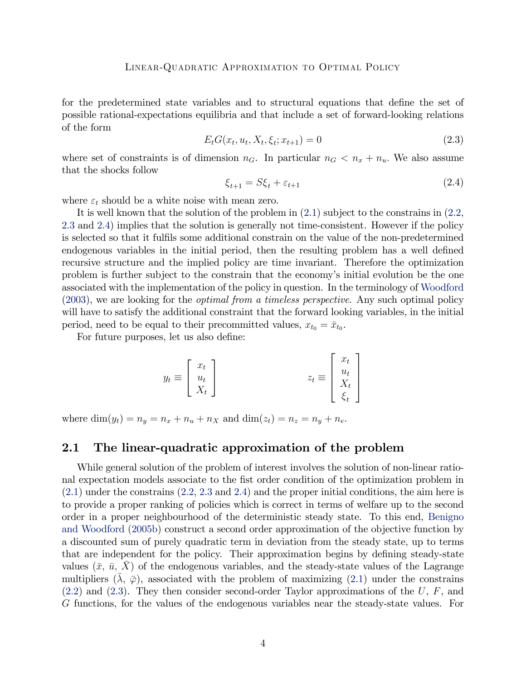for the predetermined state variables and to structural equations that define the set of possible rational-expectations equilibria and that include a set of forward-looking relations of the form

<span id="page-3-0"></span>
$$
E_t G(x_t, u_t, X_t, \xi_t; x_{t+1}) = 0
$$
\n(2.3)

where set of constraints is of dimension  $n_G$ . In particular  $n_G < n_x + n_u$ . We also assume that the shocks follow

<span id="page-3-1"></span>
$$
\xi_{t+1} = S\xi_t + \varepsilon_{t+1} \tag{2.4}
$$

where  $\varepsilon_t$  should be a white noise with mean zero.

It is well known that the solution of the problem in [\(2.1\)](#page-2-1) subject to the constrains in [\(2.2,](#page-2-2) [2.3](#page-3-0) and [2.4\)](#page-3-1) implies that the solution is generally not time-consistent. However if the policy is selected so that it fulfils some additional constrain on the value of the non-predetermined endogenous variables in the initial period, then the resulting problem has a well defined recursive structure and the implied policy are time invariant. Therefore the optimization problem is further subject to the constrain that the economyís initial evolution be the one associated with the implementation of the policy in question. In the terminology of [Woodford](#page-29-3) [\(2003\)](#page-29-3), we are looking for the optimal from a timeless perspective. Any such optimal policy will have to satisfy the additional constraint that the forward looking variables, in the initial period, need to be equal to their precommitted values,  $x_{t_0} = \bar{x}_{t_0}$ .

For future purposes, let us also define:

$$
y_t \equiv \begin{bmatrix} x_t \\ u_t \\ X_t \end{bmatrix} \qquad \qquad z_t \equiv \begin{bmatrix} x_t \\ u_t \\ X_t \\ \xi_t \end{bmatrix}
$$

where  $\dim(y_t) = n_y = n_x + n_u + n_X$  and  $\dim(z_t) = n_z = n_y + n_e$ .

#### 2.1 The linear-quadratic approximation of the problem

While general solution of the problem of interest involves the solution of non-linear rational expectation models associate to the fist order condition of the optimization problem in [\(2.1\)](#page-2-1) under the constrains [\(2.2,](#page-2-2) [2.3](#page-3-0) and [2.4\)](#page-3-1) and the proper initial conditions, the aim here is to provide a proper ranking of policies which is correct in terms of welfare up to the second order in a proper neighbourhood of the deterministic steady state. To this end, [Benigno](#page-29-0) [and Woodford](#page-29-0) [\(2005b\)](#page-29-0) construct a second order approximation of the objective function by a discounted sum of purely quadratic term in deviation from the steady state, up to terms that are independent for the policy. Their approximation begins by defining steady-state values  $(\bar{x}, \bar{u}, X)$  of the endogenous variables, and the steady-state values of the Lagrange multipliers  $(\lambda, \overline{\varphi})$ , associated with the problem of maximizing [\(2.1\)](#page-2-1) under the constrains  $(2.2)$  and  $(2.3)$ . They then consider second-order Taylor approximations of the U, F, and G functions, for the values of the endogenous variables near the steady-state values. For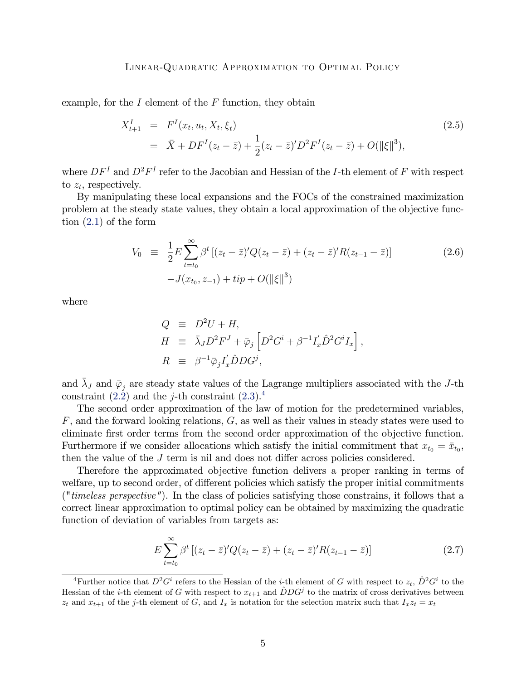example, for the  $I$  element of the  $F$  function, they obtain

$$
X_{t+1}^I = F^I(x_t, u_t, X_t, \xi_t)
$$
  
=  $\bar{X} + DF^I(z_t - \bar{z}) + \frac{1}{2}(z_t - \bar{z})'D^2F^I(z_t - \bar{z}) + O(\|\xi\|^3),$  (2.5)

where  $DF^{I}$  and  $D^{2}F^{I}$  refer to the Jacobian and Hessian of the *I*-th element of F with respect to  $z_t$ , respectively.

By manipulating these local expansions and the FOCs of the constrained maximization problem at the steady state values, they obtain a local approximation of the objective function [\(2.1\)](#page-2-1) of the form

$$
V_0 \equiv \frac{1}{2} E \sum_{t=t_0}^{\infty} \beta^t \left[ (z_t - \bar{z})^t Q (z_t - \bar{z}) + (z_t - \bar{z})^t R (z_{t-1} - \bar{z}) \right]
$$
  
-J(x<sub>t\_0</sub>, z<sub>-1</sub>) + tip + O(||\xi||<sup>3</sup>) (2.6)

where

$$
\begin{array}{rcl} Q & \equiv & D^2 U + H, \\ H & \equiv & \bar{\lambda}_J D^2 F^J + \bar{\varphi}_j \left[ D^2 G^i + \beta^{-1} I_x' \hat{D}^2 G^i I_x \right], \\ R & \equiv & \beta^{-1} \bar{\varphi}_j I_x' \hat{D} D G^j, \end{array}
$$

and  $\bar{\lambda}_J$  and  $\bar{\varphi}_j$  are steady state values of the Lagrange multipliers associated with the J-th constraint  $(2.2)$  and the *j*-th constraint  $(2.3).4$  $(2.3).4$  $(2.3).4$ 

The second order approximation of the law of motion for the predetermined variables,  $F$ , and the forward looking relations,  $G$ , as well as their values in steady states were used to eliminate first order terms from the second order approximation of the objective function. Furthermore if we consider allocations which satisfy the initial commitment that  $x_{t_0} = \bar{x}_{t_0}$ , then the value of the  $J$  term is nil and does not differ across policies considered.

Therefore the approximated objective function delivers a proper ranking in terms of welfare, up to second order, of different policies which satisfy the proper initial commitments ("timeless perspective"). In the class of policies satisfying those constrains, it follows that a correct linear approximation to optimal policy can be obtained by maximizing the quadratic function of deviation of variables from targets as:

<span id="page-4-1"></span>
$$
E\sum_{t=t_0}^{\infty} \beta^t \left[ (z_t - \bar{z})^t Q(z_t - \bar{z}) + (z_t - \bar{z})^t R(z_{t-1} - \bar{z}) \right]
$$
(2.7)

<span id="page-4-0"></span><sup>&</sup>lt;sup>4</sup>Further notice that  $D^2 G^i$  refers to the Hessian of the *i*-th element of G with respect to  $z_t$ ,  $\hat{D}^2 G^i$  to the Hessian of the *i*-th element of G with respect to  $x_{t+1}$  and  $\hat{D}DG^j$  to the matrix of cross derivatives between  $z_t$  and  $x_{t+1}$  of the j-th element of G, and  $I_x$  is notation for the selection matrix such that  $I_xz_t = x_t$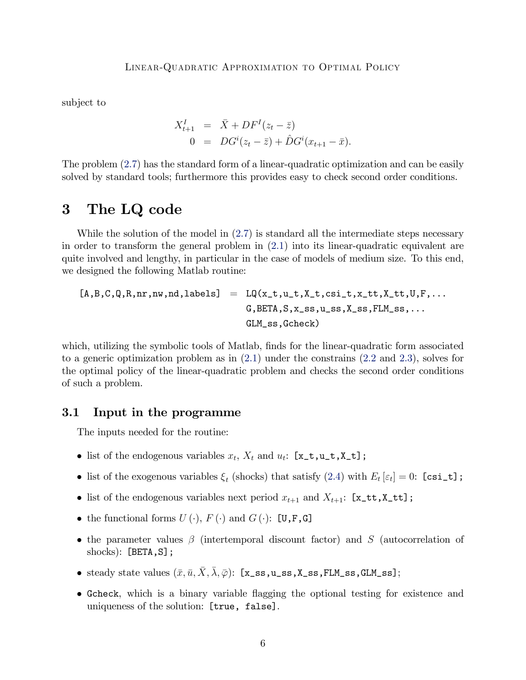subject to

$$
X_{t+1}^{I} = \bar{X} + DF^{I}(z_{t} - \bar{z})
$$
  
0 = 
$$
DG^{i}(z_{t} - \bar{z}) + \hat{D}G^{i}(x_{t+1} - \bar{x}).
$$

The problem [\(2.7\)](#page-4-1) has the standard form of a linear-quadratic optimization and can be easily solved by standard tools; furthermore this provides easy to check second order conditions.

# <span id="page-5-0"></span>3 The LQ code

While the solution of the model in  $(2.7)$  is standard all the intermediate steps necessary in order to transform the general problem in [\(2.1\)](#page-2-1) into its linear-quadratic equivalent are quite involved and lengthy, in particular in the case of models of medium size. To this end, we designed the following Matlab routine:

$$
[A,B,C,Q,R,nr,nw,nd,labels] = LQ(x_t,u_t,X_t,csi_t,x_t,t,X_t,t,U,F,\dots
$$
  

$$
G,BETA,S,x_s,s,u_s,s,X_s,s,FLM_s,s,\dots
$$
  

$$
GLM_sss,Gcheck)
$$

which, utilizing the symbolic tools of Matlab, finds for the linear-quadratic form associated to a generic optimization problem as in [\(2.1\)](#page-2-1) under the constrains [\(2.2](#page-2-2) and [2.3\)](#page-3-0), solves for the optimal policy of the linear-quadratic problem and checks the second order conditions of such a problem.

#### 3.1 Input in the programme

The inputs needed for the routine:

- list of the endogenous variables  $x_t$ ,  $X_t$  and  $u_t$ : [**x\_t**,**u\_t**,**X\_t**];
- list of the exogenous variables  $\xi_t$  (shocks) that satisfy [\(2.4\)](#page-3-1) with  $E_t[\varepsilon_t] = 0$ : [csi\_t];
- list of the endogenous variables next period  $x_{t+1}$  and  $X_{t+1}$ : [x\_tt,X\_tt];
- the functional forms  $U(\cdot)$ ,  $F(\cdot)$  and  $G(\cdot)$ : [U,F,G]
- the parameter values  $\beta$  (intertemporal discount factor) and S (autocorrelation of shocks): [BETA, S];
- steady state values  $(\bar{x}, \bar{u}, \bar{X}, \bar{\lambda}, \bar{\varphi})$ : [x\_ss,u\_ss,X\_ss,FLM\_ss,GLM\_ss];
- Gcheck, which is a binary variable áagging the optional testing for existence and uniqueness of the solution: [true, false].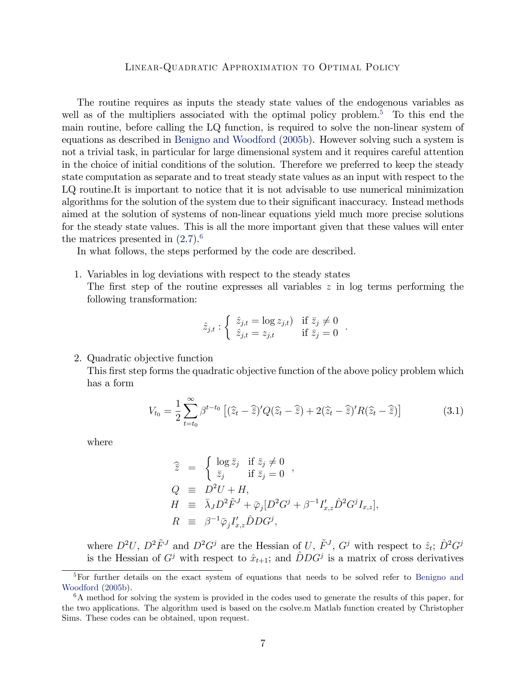The routine requires as inputs the steady state values of the endogenous variables as well as of the multipliers associated with the optimal policy problem.<sup>[5](#page-6-0)</sup> To this end the main routine, before calling the LQ function, is required to solve the non-linear system of equations as described in [Benigno and Woodford](#page-29-0) [\(2005b\)](#page-29-0). However solving such a system is not a trivial task, in particular for large dimensional system and it requires careful attention in the choice of initial conditions of the solution. Therefore we preferred to keep the steady state computation as separate and to treat steady state values as an input with respect to the LQ routine.It is important to notice that it is not advisable to use numerical minimization algorithms for the solution of the system due to their significant inaccuracy. Instead methods aimed at the solution of systems of non-linear equations yield much more precise solutions for the steady state values. This is all the more important given that these values will enter the matrices presented in  $(2.7)$ .<sup>[6](#page-6-1)</sup>

In what follows, the steps performed by the code are described.

1. Variables in log deviations with respect to the steady states The first step of the routine expresses all variables  $z$  in log terms performing the following transformation:

$$
\hat{z}_{j,t} : \begin{cases} \hat{z}_{j,t} = \log z_{j,t} & \text{if } \bar{z}_j \neq 0 \\ \hat{z}_{j,t} = z_{j,t} & \text{if } \bar{z}_j = 0 \end{cases}.
$$

2. Quadratic objective function

This first step forms the quadratic objective function of the above policy problem which has a form

<span id="page-6-2"></span>
$$
V_{t_0} = \frac{1}{2} \sum_{t=t_0}^{\infty} \beta^{t-t_0} \left[ (\widehat{z}_t - \widehat{\overline{z}})' Q (\widehat{z}_t - \widehat{\overline{z}}) + 2(\widehat{z}_t - \widehat{\overline{z}})' R (\widehat{z}_t - \widehat{\overline{z}}) \right]
$$
(3.1)

where

$$
\begin{array}{rcl} \widehat{\bar{z}} & = & \left\{ \begin{array}{lcl} \log \bar{z}_j & \text{if} \ \bar{z}_j \neq 0 \\ \bar{z}_j & \text{if} \ \bar{z}_j = 0 \end{array} \right. , \\ Q & \equiv & D^2 U + H, \\ H & \equiv & \bar{\lambda}_J D^2 \tilde{F}^J + \bar{\varphi}_j [D^2 G^j + \beta^{-1} I'_{x,z} \hat{D}^2 G^j I_{x,z} ], \\ R & \equiv & \beta^{-1} \bar{\varphi}_j I'_{x,z} \hat{D} D G^j, \end{array} \end{array}
$$

where  $D^2U$ ,  $D^2\tilde{F}^J$  and  $D^2G^j$  are the Hessian of U,  $\tilde{F}^J$ ,  $G^j$  with respect to  $\hat{z}_t$ ;  $\hat{D}^2G^j$ is the Hessian of  $G^j$  with respect to  $\hat{x}_{t+1}$ ; and  $\hat{D}DG^j$  is a matrix of cross derivatives

<span id="page-6-0"></span><sup>5</sup>For further details on the exact system of equations that needs to be solved refer to [Benigno and](#page-29-0) [Woodford](#page-29-0) [\(2005b\)](#page-29-0).

<span id="page-6-1"></span><sup>6</sup>A method for solving the system is provided in the codes used to generate the results of this paper, for the two applications. The algorithm used is based on the csolve.m Matlab function created by Christopher Sims. These codes can be obtained, upon request.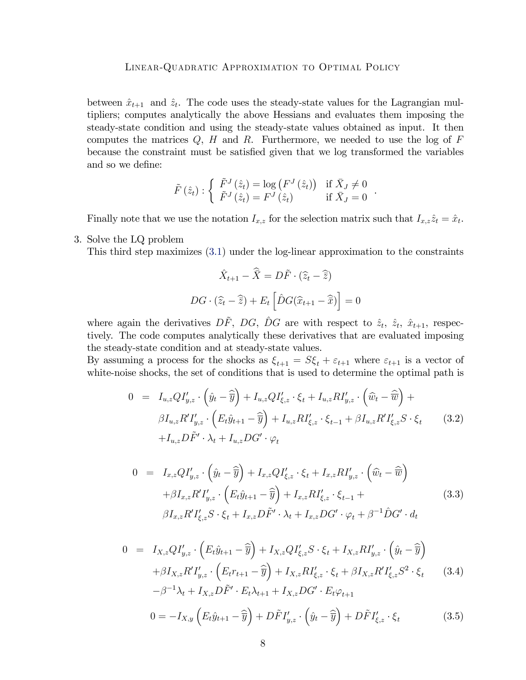between  $\hat{x}_{t+1}$  and  $\hat{z}_t$ . The code uses the steady-state values for the Lagrangian multipliers; computes analytically the above Hessians and evaluates them imposing the steady-state condition and using the steady-state values obtained as input. It then computes the matrices  $Q$ ,  $H$  and  $R$ . Furthermore, we needed to use the log of  $F$ because the constraint must be satisfied given that we log transformed the variables and so we define:

$$
\tilde{F}(\hat{z}_t) : \begin{cases} \tilde{F}^J(\hat{z}_t) = \log (F^J(\hat{z}_t)) & \text{if } \bar{X}_J \neq 0\\ \tilde{F}^J(\hat{z}_t) = F^J(\hat{z}_t) & \text{if } \bar{X}_J = 0 \end{cases}
$$

.

Finally note that we use the notation  $I_{x,z}$  for the selection matrix such that  $I_{x,z}\hat{z}_t = \hat{x}_t$ .

3. Solve the LQ problem

This third step maximizes [\(3.1\)](#page-6-2) under the log-linear approximation to the constraints

$$
\hat{X}_{t+1} - \hat{\overline{X}} = D\tilde{F} \cdot (\hat{z}_t - \hat{\overline{z}})
$$

$$
DG \cdot (\hat{z}_t - \hat{\overline{z}}) + E_t \left[ \hat{D}G(\hat{x}_{t+1} - \hat{\overline{x}}) \right] = 0
$$

where again the derivatives  $D\tilde{F}$ ,  $DG$ ,  $\hat{D}G$  are with respect to  $\hat{z}_t$ ,  $\hat{z}_t$ ,  $\hat{x}_{t+1}$ , respectively. The code computes analytically these derivatives that are evaluated imposing the steady-state condition and at steady-state values.

By assuming a process for the shocks as  $\xi_{t+1} = S\xi_t + \varepsilon_{t+1}$  where  $\varepsilon_{t+1}$  is a vector of white-noise shocks, the set of conditions that is used to determine the optimal path is

$$
0 = I_{u,z}QI'_{y,z} \cdot (\hat{y}_t - \hat{\overline{y}}) + I_{u,z}QI'_{\xi,z} \cdot \xi_t + I_{u,z}RI'_{y,z} \cdot (\hat{w}_t - \hat{\overline{w}}) + \beta I_{u,z}R'I'_{y,z} \cdot (E_t\hat{y}_{t+1} - \hat{\overline{y}}) + I_{u,z}RI'_{\xi,z} \cdot \xi_{t-1} + \beta I_{u,z}R'I'_{\xi,z}S \cdot \xi_t
$$
\n
$$
+ I_{u,z}D\tilde{F}' \cdot \lambda_t + I_{u,z}DG' \cdot \varphi_t
$$
\n(3.2)

$$
0 = I_{x,z}QI'_{y,z} \cdot (\hat{y}_t - \hat{\overline{y}}) + I_{x,z}QI'_{\xi,z} \cdot \xi_t + I_{x,z}RI'_{y,z} \cdot (\hat{w}_t - \hat{\overline{w}}) + \beta I_{x,z}R'I'_{y,z} \cdot (E_t\hat{y}_{t+1} - \hat{\overline{y}}) + I_{x,z}RI'_{\xi,z} \cdot \xi_{t-1} + \beta I_{x,z}R'I'_{\xi,z}S \cdot \xi_t + I_{x,z}D\tilde{F}' \cdot \lambda_t + I_{x,z}DG' \cdot \varphi_t + \beta^{-1}\hat{D}G' \cdot d_t
$$
\n(3.3)

$$
0 = I_{X,z}QI'_{y,z} \cdot (E_t \hat{y}_{t+1} - \hat{\overline{y}}) + I_{X,z}QI'_{\xi,z}S \cdot \xi_t + I_{X,z}RI'_{y,z} \cdot (\hat{y}_t - \hat{\overline{y}}) + \beta I_{X,z}R'I'_{y,z} \cdot (E_t r_{t+1} - \hat{\overline{y}}) + I_{X,z}RI'_{\xi,z} \cdot \xi_t + \beta I_{X,z}R'I'_{\xi,z}S^2 \cdot \xi_t
$$
 (3.4)  

$$
-\beta^{-1}\lambda_t + I_{X,z}D\tilde{F}' \cdot E_t\lambda_{t+1} + I_{X,z}DG' \cdot E_t\varphi_{t+1}
$$

$$
0 = -I_{X,y}\left(E_t\hat{y}_{t+1} - \widehat{\overline{y}}\right) + D\tilde{F}I'_{y,z} \cdot \left(\hat{y}_t - \widehat{\overline{y}}\right) + D\tilde{F}I'_{\xi,z} \cdot \xi_t
$$
\n(3.5)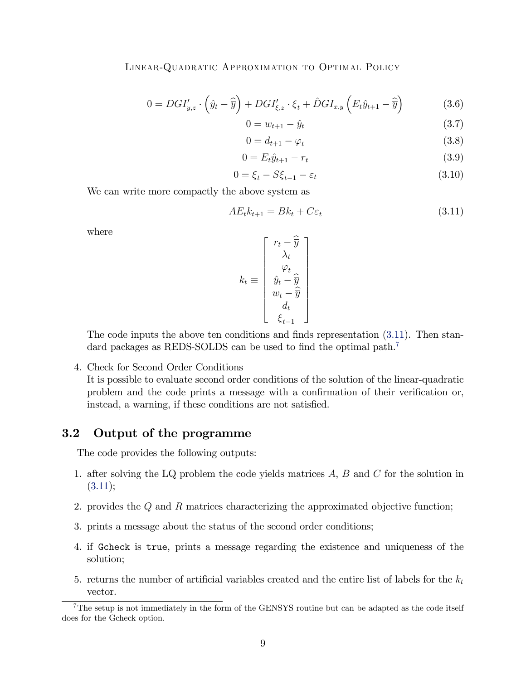$$
0 = DGI'_{y,z} \cdot \left(\hat{y}_t - \widehat{\overline{y}}\right) + DGI'_{\xi,z} \cdot \xi_t + \hat{D}GI_{x,y}\left(E_t\hat{y}_{t+1} - \widehat{\overline{y}}\right)
$$
(3.6)

$$
0 = w_{t+1} - \hat{y}_t \tag{3.7}
$$

$$
0 = d_{t+1} - \varphi_t \tag{3.8}
$$

$$
0 = E_t \hat{y}_{t+1} - r_t \tag{3.9}
$$

$$
0 = \xi_t - S\xi_{t-1} - \varepsilon_t \tag{3.10}
$$

We can write more compactly the above system as

<span id="page-8-0"></span>
$$
AE_t k_{t+1} = Bk_t + C\varepsilon_t \tag{3.11}
$$

where

$$
k_t \equiv \begin{bmatrix} r_t - \widehat{\overline{y}} \\ \lambda_t \\ \widehat{y}_t - \widehat{\overline{y}} \\ w_t - \widehat{\overline{y}} \\ d_t \\ \xi_{t-1} \end{bmatrix}
$$

The code inputs the above ten conditions and finds representation  $(3.11)$ . Then stan-dard packages as REDS-SOLDS can be used to find the optimal path.<sup>[7](#page-8-1)</sup>

4. Check for Second Order Conditions

It is possible to evaluate second order conditions of the solution of the linear-quadratic problem and the code prints a message with a confirmation of their verification or, instead, a warning, if these conditions are not satisfied.

#### 3.2 Output of the programme

The code provides the following outputs:

- 1. after solving the LQ problem the code yields matrices  $A, B$  and  $C$  for the solution in  $(3.11);$  $(3.11);$
- 2. provides the Q and R matrices characterizing the approximated objective function;
- 3. prints a message about the status of the second order conditions;
- 4. if Gcheck is true, prints a message regarding the existence and uniqueness of the solution;
- 5. returns the number of artificial variables created and the entire list of labels for the  $k_t$ vector.

<span id="page-8-1"></span><sup>&</sup>lt;sup>7</sup>The setup is not immediately in the form of the GENSYS routine but can be adapted as the code itself does for the Gcheck option.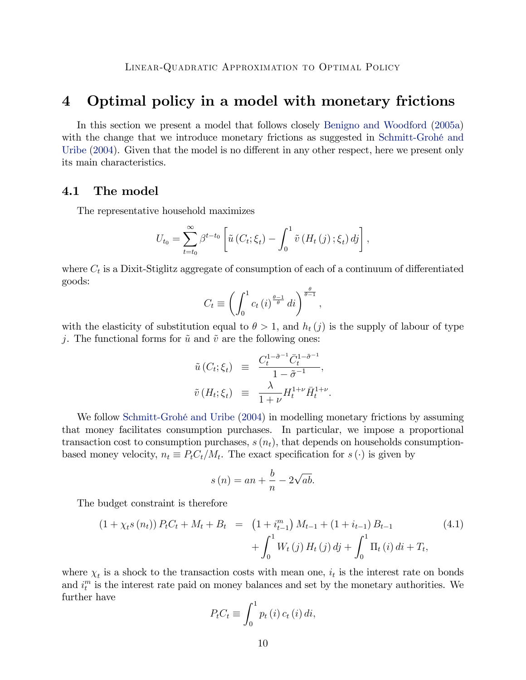# <span id="page-9-0"></span>4 Optimal policy in a model with monetary frictions

In this section we present a model that follows closely [Benigno and Woodford](#page-29-4) [\(2005a\)](#page-29-4) with the change that we introduce monetary frictions as suggested in Schmitt-Grohé and [Uribe](#page-29-5)  $(2004)$ . Given that the model is no different in any other respect, here we present only its main characteristics.

#### 4.1 The model

The representative household maximizes

$$
U_{t_0} = \sum_{t=t_0}^{\infty} \beta^{t-t_0} \left[ \tilde{u} \left( C_t; \xi_t \right) - \int_0^1 \tilde{v} \left( H_t \left( j \right); \xi_t \right) d_j \right],
$$

where  $C_t$  is a Dixit-Stiglitz aggregate of consumption of each of a continuum of differentiated goods:

$$
C_t \equiv \left( \int_0^1 c_t \left( i \right)^{\frac{\theta - 1}{\theta}} di \right)^{\frac{\theta}{\theta - 1}},
$$

with the elasticity of substitution equal to  $\theta > 1$ , and  $h_t(j)$  is the supply of labour of type j. The functional forms for  $\tilde{u}$  and  $\tilde{v}$  are the following ones:

$$
\tilde{u}(C_t; \xi_t) \equiv \frac{C_t^{1-\tilde{\sigma}^{-1}} \bar{C}_t^{1-\tilde{\sigma}^{-1}}}{1-\tilde{\sigma}^{-1}},
$$
  

$$
\tilde{v}(H_t; \xi_t) \equiv \frac{\lambda}{1+\nu} H_t^{1+\nu} \bar{H}_t^{1+\nu}.
$$

We follow Schmitt-Grohé and Uribe [\(2004\)](#page-29-5) in modelling monetary frictions by assuming that money facilitates consumption purchases. In particular, we impose a proportional transaction cost to consumption purchases,  $s(n_t)$ , that depends on households consumptionbased money velocity,  $n_t \equiv P_t C_t / M_t$ . The exact specification for  $s(\cdot)$  is given by

$$
s(n) = an + \frac{b}{n} - 2\sqrt{ab}.
$$

The budget constraint is therefore

$$
(1 + \chi_t s(n_t)) P_t C_t + M_t + B_t = (1 + i_{t-1}^m) M_{t-1} + (1 + i_{t-1}) B_{t-1} + \int_0^1 W_t(j) H_t(j) dj + \int_0^1 \Pi_t(i) di + T_t,
$$
\n(4.1)

where  $\chi_t$  is a shock to the transaction costs with mean one,  $i_t$  is the interest rate on bonds and  $i_t^m$  is the interest rate paid on money balances and set by the monetary authorities. We further have

$$
P_t C_t \equiv \int_0^1 p_t(i) c_t(i) di,
$$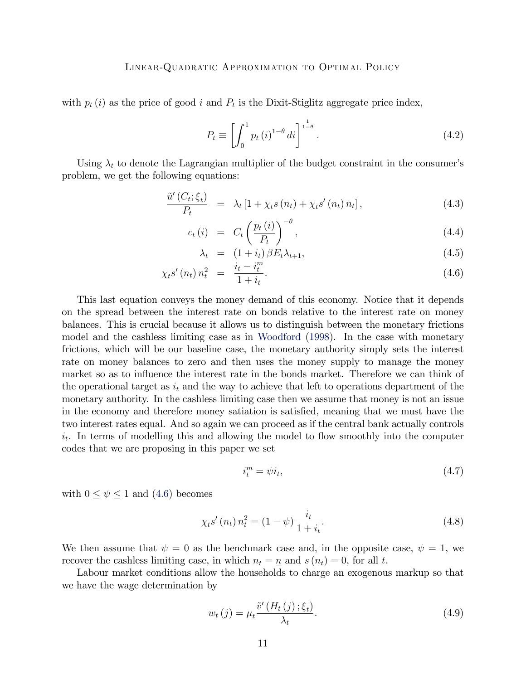with  $p_t(i)$  as the price of good i and  $P_t$  is the Dixit-Stiglitz aggregate price index,

$$
P_t \equiv \left[ \int_0^1 p_t(i)^{1-\theta} di \right]^{\frac{1}{1-\theta}}.
$$
\n(4.2)

Using  $\lambda_t$  to denote the Lagrangian multiplier of the budget constraint in the consumer's problem, we get the following equations:

<span id="page-10-0"></span>
$$
\frac{\tilde{u}'(C_t;\xi_t)}{P_t} = \lambda_t \left[1 + \chi_t s(n_t) + \chi_t s'(n_t) n_t\right],\tag{4.3}
$$

$$
c_t(i) = C_t \left(\frac{p_t(i)}{P_t}\right)^{-\theta}, \qquad (4.4)
$$

$$
\lambda_t = (1 + i_t) \beta E_t \lambda_{t+1}, \qquad (4.5)
$$

$$
\chi_t s'(n_t) n_t^2 = \frac{i_t - i_t^m}{1 + i_t}.
$$
\n(4.6)

This last equation conveys the money demand of this economy. Notice that it depends on the spread between the interest rate on bonds relative to the interest rate on money balances. This is crucial because it allows us to distinguish between the monetary frictions model and the cashless limiting case as in [Woodford](#page-29-6) [\(1998\)](#page-29-6). In the case with monetary frictions, which will be our baseline case, the monetary authority simply sets the interest rate on money balances to zero and then uses the money supply to manage the money market so as to influence the interest rate in the bonds market. Therefore we can think of the operational target as  $i_t$  and the way to achieve that left to operations department of the monetary authority. In the cashless limiting case then we assume that money is not an issue in the economy and therefore money satiation is satisfied, meaning that we must have the two interest rates equal. And so again we can proceed as if the central bank actually controls  $i_t$ . In terms of modelling this and allowing the model to flow smoothly into the computer codes that we are proposing in this paper we set

$$
i_t^m = \psi i_t,\tag{4.7}
$$

with  $0 \leq \psi \leq 1$  and [\(4.6\)](#page-10-0) becomes

$$
\chi_t s'(n_t) n_t^2 = (1 - \psi) \frac{i_t}{1 + i_t}.
$$
\n(4.8)

We then assume that  $\psi = 0$  as the benchmark case and, in the opposite case,  $\psi = 1$ , we recover the cashless limiting case, in which  $n_t = \underline{n}$  and  $s(n_t) = 0$ , for all t.

Labour market conditions allow the households to charge an exogenous markup so that we have the wage determination by

$$
w_t(j) = \mu_t \frac{\tilde{v}'(H_t(j); \xi_t)}{\lambda_t}.
$$
\n(4.9)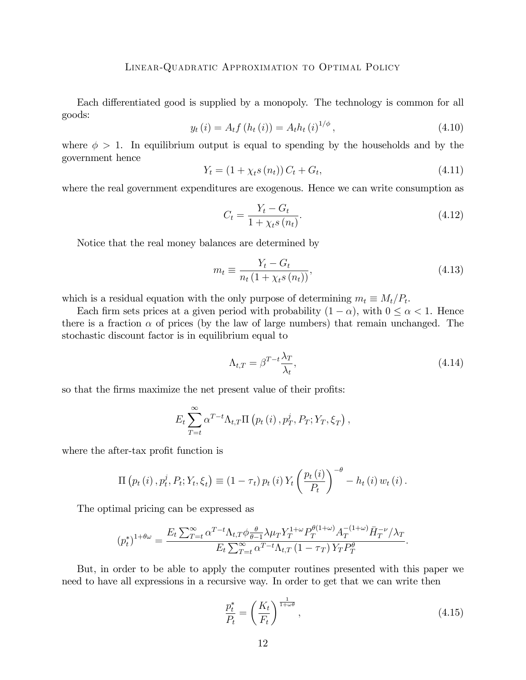Each differentiated good is supplied by a monopoly. The technology is common for all goods:

<span id="page-11-1"></span>
$$
y_t(i) = A_t f(h_t(i)) = A_t h_t(i)^{1/\phi}, \qquad (4.10)
$$

where  $\phi > 1$ . In equilibrium output is equal to spending by the households and by the government hence

$$
Y_t = (1 + \chi_t s(n_t)) C_t + G_t,
$$
\n(4.11)

where the real government expenditures are exogenous. Hence we can write consumption as

$$
C_t = \frac{Y_t - G_t}{1 + \chi_t s(n_t)}.
$$
\n(4.12)

Notice that the real money balances are determined by

$$
m_t \equiv \frac{Y_t - G_t}{n_t (1 + \chi_t s(n_t))},
$$
\n(4.13)

which is a residual equation with the only purpose of determining  $m_t \equiv M_t/P_t$ .

Each firm sets prices at a given period with probability  $(1 - \alpha)$ , with  $0 \le \alpha < 1$ . Hence there is a fraction  $\alpha$  of prices (by the law of large numbers) that remain unchanged. The stochastic discount factor is in equilibrium equal to

$$
\Lambda_{t,T} = \beta^{T-t} \frac{\lambda_T}{\lambda_t},\tag{4.14}
$$

so that the firms maximize the net present value of their profits:

$$
E_t \sum_{T=t}^{\infty} \alpha^{T-t} \Lambda_{t,T} \Pi \left( p_t \left( i \right), p_T^j, P_T; Y_T, \xi_T \right),
$$

where the after-tax profit function is

$$
\Pi (p_t (i), p_t^j, P_t; Y_t, \xi_t) \equiv (1 - \tau_t) p_t (i) Y_t \left( \frac{p_t (i)}{P_t} \right)^{-\theta} - h_t (i) w_t (i).
$$

The optimal pricing can be expressed as

$$
(p_t^*)^{1+\theta\omega} = \frac{E_t \sum_{T=t}^{\infty} \alpha^{T-t} \Lambda_{t,T} \phi \frac{\theta}{\theta-1} \lambda \mu_T Y_T^{1+\omega} P_T^{\theta(1+\omega)} A_T^{-(1+\omega)} \bar{H}_T^{-\nu} / \lambda_T}{E_t \sum_{T=t}^{\infty} \alpha^{T-t} \Lambda_{t,T} (1 - \tau_T) Y_T P_T^{\theta}}.
$$

But, in order to be able to apply the computer routines presented with this paper we need to have all expressions in a recursive way. In order to get that we can write then

<span id="page-11-0"></span>
$$
\frac{p_t^*}{P_t} = \left(\frac{K_t}{F_t}\right)^{\frac{1}{1+\omega\theta}},\tag{4.15}
$$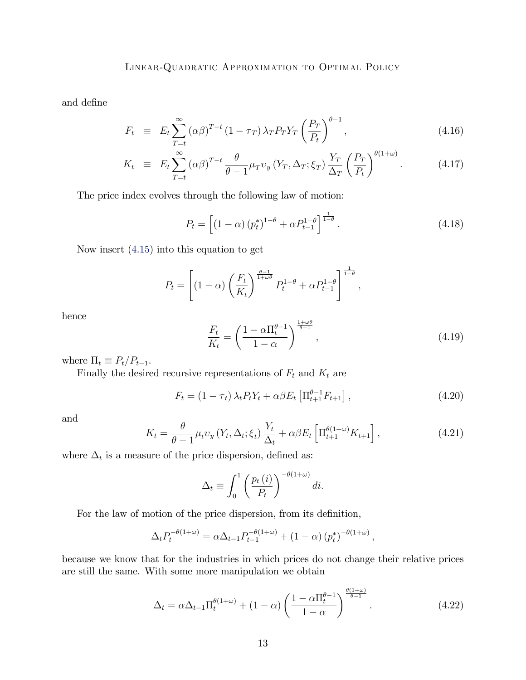and define

$$
F_t \equiv E_t \sum_{T=t}^{\infty} (\alpha \beta)^{T-t} (1 - \tau_T) \lambda_T P_T Y_T \left(\frac{P_T}{P_t}\right)^{\theta - 1}, \qquad (4.16)
$$

$$
K_t \equiv E_t \sum_{T=t}^{\infty} (\alpha \beta)^{T-t} \frac{\theta}{\theta - 1} \mu_T v_y \left( Y_T, \Delta_T; \xi_T \right) \frac{Y_T}{\Delta_T} \left( \frac{P_T}{P_t} \right)^{\theta (1 + \omega)}.
$$
 (4.17)

The price index evolves through the following law of motion:

$$
P_t = \left[ \left( 1 - \alpha \right) \left( p_t^* \right)^{1 - \theta} + \alpha P_{t-1}^{1 - \theta} \right]^{\frac{1}{1 - \theta}}.
$$
\n
$$
(4.18)
$$

Now insert [\(4.15\)](#page-11-0) into this equation to get

$$
P_t = \left[ (1 - \alpha) \left( \frac{F_t}{K_t} \right)^{\frac{\theta - 1}{1 + \omega \theta}} P_t^{1 - \theta} + \alpha P_{t-1}^{1 - \theta} \right]^{\frac{1}{1 - \theta}},
$$

hence

$$
\frac{F_t}{K_t} = \left(\frac{1 - \alpha \Pi_t^{\theta - 1}}{1 - \alpha}\right)^{\frac{1 + \omega \theta}{\theta - 1}},\tag{4.19}
$$

where  $\Pi_t \equiv P_t/P_{t-1}$ .

Finally the desired recursive representations of  $F_t$  and  $K_t$  are

$$
F_t = (1 - \tau_t) \lambda_t P_t Y_t + \alpha \beta E_t \left[ \Pi_{t+1}^{\theta - 1} F_{t+1} \right],
$$
\n(4.20)

and

$$
K_t = \frac{\theta}{\theta - 1} \mu_t v_y \left( Y_t, \Delta_t; \xi_t \right) \frac{Y_t}{\Delta_t} + \alpha \beta E_t \left[ \Pi_{t+1}^{\theta(1+\omega)} K_{t+1} \right], \tag{4.21}
$$

where  $\Delta_t$  is a measure of the price dispersion, defined as:

$$
\Delta_t \equiv \int_0^1 \left(\frac{p_t(i)}{P_t}\right)^{-\theta(1+\omega)} di.
$$

For the law of motion of the price dispersion, from its definition,

$$
\Delta_t P_t^{-\theta(1+\omega)} = \alpha \Delta_{t-1} P_{t-1}^{-\theta(1+\omega)} + (1-\alpha) (p_t^*)^{-\theta(1+\omega)},
$$

because we know that for the industries in which prices do not change their relative prices are still the same. With some more manipulation we obtain

$$
\Delta_t = \alpha \Delta_{t-1} \Pi_t^{\theta(1+\omega)} + (1-\alpha) \left( \frac{1 - \alpha \Pi_t^{\theta-1}}{1-\alpha} \right)^{\frac{\theta(1+\omega)}{\theta-1}}.
$$
\n(4.22)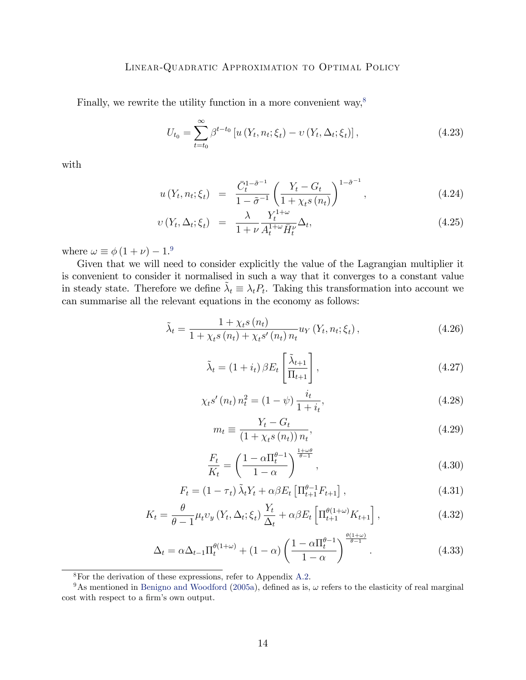Finally, we rewrite the utility function in a more convenient way,<sup>[8](#page-13-0)</sup>

$$
U_{t_0} = \sum_{t=t_0}^{\infty} \beta^{t-t_0} \left[ u\left(Y_t, n_t; \xi_t\right) - v\left(Y_t, \Delta_t; \xi_t\right) \right],\tag{4.23}
$$

with

$$
u(Y_t, n_t; \xi_t) = \frac{\bar{C}_t^{1-\tilde{\sigma}^{-1}}}{1-\tilde{\sigma}^{-1}} \left(\frac{Y_t - G_t}{1 + \chi_t s(n_t)}\right)^{1-\tilde{\sigma}^{-1}},
$$
\n(4.24)

$$
v(Y_t, \Delta_t; \xi_t) = \frac{\lambda}{1 + \nu} \frac{Y_t^{1 + \omega}}{A_t^{1 + \omega} \bar{H}_t^{\nu}} \Delta_t, \tag{4.25}
$$

where  $\omega \equiv \phi (1 + \nu) - 1.9$  $\omega \equiv \phi (1 + \nu) - 1.9$ 

Given that we will need to consider explicitly the value of the Lagrangian multiplier it is convenient to consider it normalised in such a way that it converges to a constant value in steady state. Therefore we define  $\tilde{\lambda}_t \equiv \lambda_t P_t$ . Taking this transformation into account we can summarise all the relevant equations in the economy as follows:

<span id="page-13-2"></span>
$$
\tilde{\lambda}_{t} = \frac{1 + \chi_{t} s(n_{t})}{1 + \chi_{t} s(n_{t}) + \chi_{t} s'(n_{t}) n_{t}} u_{Y}(Y_{t}, n_{t}; \xi_{t}),
$$
\n(4.26)

$$
\tilde{\lambda}_t = (1 + i_t) \beta E_t \left[ \frac{\tilde{\lambda}_{t+1}}{\Pi_{t+1}} \right], \qquad (4.27)
$$

$$
\chi_t s'(n_t) n_t^2 = (1 - \psi) \frac{i_t}{1 + i_t},
$$
\n(4.28)

$$
m_t \equiv \frac{Y_t - G_t}{\left(1 + \chi_t s\left(n_t\right)\right) n_t},\tag{4.29}
$$

$$
\frac{F_t}{K_t} = \left(\frac{1 - \alpha \Pi_t^{\theta - 1}}{1 - \alpha}\right)^{\frac{1 + \omega \theta}{\theta - 1}},\tag{4.30}
$$

$$
F_t = (1 - \tau_t) \tilde{\lambda}_t Y_t + \alpha \beta E_t \left[ \Pi_{t+1}^{\theta - 1} F_{t+1} \right], \qquad (4.31)
$$

<span id="page-13-3"></span>
$$
K_t = \frac{\theta}{\theta - 1} \mu_t v_y \left( Y_t, \Delta_t; \xi_t \right) \frac{Y_t}{\Delta_t} + \alpha \beta E_t \left[ \Pi_{t+1}^{\theta(1+\omega)} K_{t+1} \right], \tag{4.32}
$$

<span id="page-13-4"></span>
$$
\Delta_t = \alpha \Delta_{t-1} \Pi_t^{\theta(1+\omega)} + (1-\alpha) \left( \frac{1 - \alpha \Pi_t^{\theta-1}}{1-\alpha} \right)^{\frac{\theta(1+\omega)}{\theta-1}}.
$$
\n(4.33)

<span id="page-13-1"></span><span id="page-13-0"></span><sup>8</sup>For the derivation of these expressions, refer to Appendix [A.2.](#page-31-0)

<sup>&</sup>lt;sup>9</sup>As mentioned in [Benigno and Woodford](#page-29-4) [\(2005a\)](#page-29-4), defined as is,  $\omega$  refers to the elasticity of real marginal cost with respect to a firm's own output.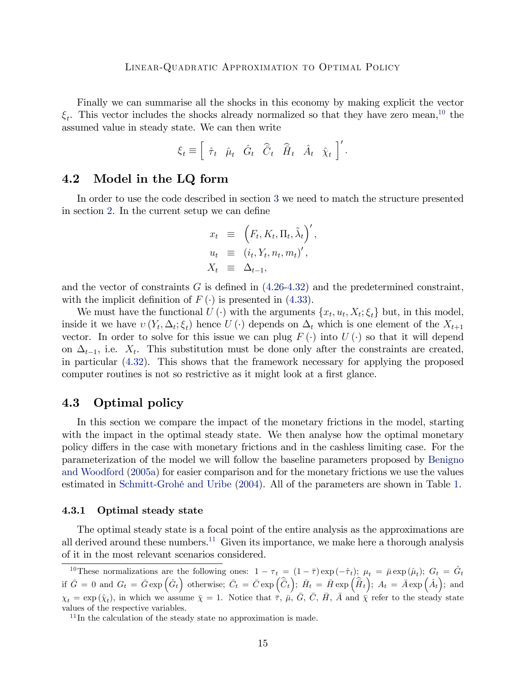Finally we can summarise all the shocks in this economy by making explicit the vector  $\xi_t$ . This vector includes the shocks already normalized so that they have zero mean,<sup>[10](#page-14-0)</sup> the assumed value in steady state. We can then write

$$
\xi_t \equiv \left[ \begin{array}{cccc} \hat{\tau}_t & \hat{\mu}_t & \hat{G}_t & \hat{\overline{C}}_t & \hat{\overline{H}}_t & \hat{A}_t & \hat{\chi}_t \end{array} \right]'.
$$

#### 4.2 Model in the LQ form

In order to use the code described in section [3](#page-5-0) we need to match the structure presented in section [2.](#page-2-0) In the current setup we can define

$$
x_t \equiv \left( F_t, K_t, \Pi_t, \tilde{\lambda}_t \right)',
$$
  
\n
$$
u_t \equiv (i_t, Y_t, n_t, m_t)',
$$
  
\n
$$
X_t \equiv \Delta_{t-1},
$$

and the vector of constraints G is defined in  $(4.26-4.32)$  $(4.26-4.32)$  and the predetermined constraint, with the implicit definition of  $F(\cdot)$  is presented in [\(4.33\)](#page-13-4).

We must have the functional  $U(\cdot)$  with the arguments  $\{x_t, u_t, X_t; \xi_t\}$  but, in this model, inside it we have  $v(Y_t, \Delta_t; \xi_t)$  hence  $U(\cdot)$  depends on  $\Delta_t$  which is one element of the  $X_{t+1}$ vector. In order to solve for this issue we can plug  $F(\cdot)$  into  $U(\cdot)$  so that it will depend on  $\Delta_{t-1}$ , i.e.  $X_t$ . This substitution must be done only after the constraints are created, in particular [\(4.32\)](#page-13-3). This shows that the framework necessary for applying the proposed computer routines is not so restrictive as it might look at a first glance.

#### 4.3 Optimal policy

In this section we compare the impact of the monetary frictions in the model, starting with the impact in the optimal steady state. We then analyse how the optimal monetary policy differs in the case with monetary frictions and in the cashless limiting case. For the parameterization of the model we will follow the baseline parameters proposed by [Benigno](#page-29-4) [and Woodford](#page-29-4) [\(2005a\)](#page-29-4) for easier comparison and for the monetary frictions we use the values estimated in Schmitt-Grohé and Uribe [\(2004\)](#page-29-5). All of the parameters are shown in Table [1.](#page-30-0)

#### 4.3.1 Optimal steady state

The optimal steady state is a focal point of the entire analysis as the approximations are all derived around these numbers.<sup>[11](#page-14-1)</sup> Given its importance, we make here a thorough analysis of it in the most relevant scenarios considered.

<span id="page-14-0"></span><sup>&</sup>lt;sup>10</sup>These normalizations are the following ones:  $1 - \tau_t = (1 - \bar{\tau}) \exp(-\hat{\tau}_t); \mu_t = \bar{\mu} \exp(\hat{\mu}_t); G_t = \hat{G}_t$ if  $\bar{G} = 0$  and  $G_t = \bar{G} \exp \left( \hat{G}_t \right)$  otherwise;  $\bar{C}_t = \bar{C} \exp \left( \hat{\bar{C}}_t \right)$ ;  $\bar{H}_t = \bar{H} \exp \left( \hat{\bar{H}}_t \right)$ ;  $A_t = \bar{A} \exp \left( \hat{A}_t \right)$ ; and  $\chi_t = \exp(\hat{\chi}_t)$ , in which we assume  $\bar{\chi} = 1$ . Notice that  $\bar{\tau}$ ,  $\bar{\mu}$ ,  $\bar{G}$ ,  $\bar{C}$ ,  $\bar{H}$ ,  $\bar{A}$  and  $\bar{\chi}$  refer to the steady state values of the respective variables.

<span id="page-14-1"></span> $11$ In the calculation of the steady state no approximation is made.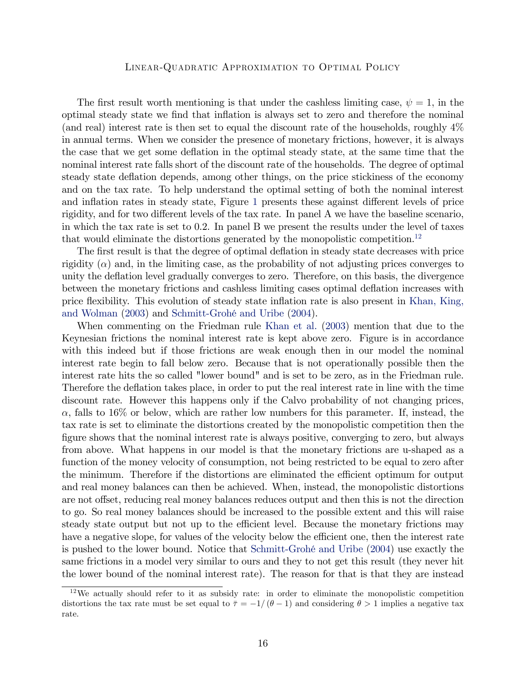The first result worth mentioning is that under the cashless limiting case,  $\psi = 1$ , in the optimal steady state we find that inflation is always set to zero and therefore the nominal (and real) interest rate is then set to equal the discount rate of the households, roughly 4% in annual terms. When we consider the presence of monetary frictions, however, it is always the case that we get some deflation in the optimal steady state, at the same time that the nominal interest rate falls short of the discount rate of the households. The degree of optimal steady state deflation depends, among other things, on the price stickiness of the economy and on the tax rate. To help understand the optimal setting of both the nominal interest and inflation rates in steady state, Figure [1](#page-33-0) presents these against different levels of price rigidity, and for two different levels of the tax rate. In panel  $A$  we have the baseline scenario, in which the tax rate is set to 0.2. In panel B we present the results under the level of taxes that would eliminate the distortions generated by the monopolistic competition.<sup>[12](#page-15-0)</sup>

The first result is that the degree of optimal deflation in steady state decreases with price rigidity  $(\alpha)$  and, in the limiting case, as the probability of not adjusting prices converges to unity the deflation level gradually converges to zero. Therefore, on this basis, the divergence between the monetary frictions and cashless limiting cases optimal deáation increases with price flexibility. This evolution of steady state inflation rate is also present in [Khan, King,](#page-29-7) [and Wolman](#page-29-7) [\(2003\)](#page-29-7) and Schmitt-Grohé and Uribe [\(2004\)](#page-29-5).

When commenting on the Friedman rule [Khan et al.](#page-29-7) [\(2003\)](#page-29-7) mention that due to the Keynesian frictions the nominal interest rate is kept above zero. Figure is in accordance with this indeed but if those frictions are weak enough then in our model the nominal interest rate begin to fall below zero. Because that is not operationally possible then the interest rate hits the so called "lower bound" and is set to be zero, as in the Friedman rule. Therefore the deflation takes place, in order to put the real interest rate in line with the time discount rate. However this happens only if the Calvo probability of not changing prices,  $\alpha$ , falls to 16% or below, which are rather low numbers for this parameter. If, instead, the tax rate is set to eliminate the distortions created by the monopolistic competition then the figure shows that the nominal interest rate is always positive, converging to zero, but always from above. What happens in our model is that the monetary frictions are u-shaped as a function of the money velocity of consumption, not being restricted to be equal to zero after the minimum. Therefore if the distortions are eliminated the efficient optimum for output and real money balances can then be achieved. When, instead, the monopolistic distortions are not offset, reducing real money balances reduces output and then this is not the direction to go. So real money balances should be increased to the possible extent and this will raise steady state output but not up to the efficient level. Because the monetary frictions may have a negative slope, for values of the velocity below the efficient one, then the interest rate is pushed to the lower bound. Notice that [Schmitt-GrohÈ and Uribe](#page-29-5) [\(2004\)](#page-29-5) use exactly the same frictions in a model very similar to ours and they to not get this result (they never hit the lower bound of the nominal interest rate). The reason for that is that they are instead

<span id="page-15-0"></span><sup>12</sup>We actually should refer to it as subsidy rate: in order to eliminate the monopolistic competition distortions the tax rate must be set equal to  $\bar{\tau} = -1/(\theta - 1)$  and considering  $\theta > 1$  implies a negative tax rate.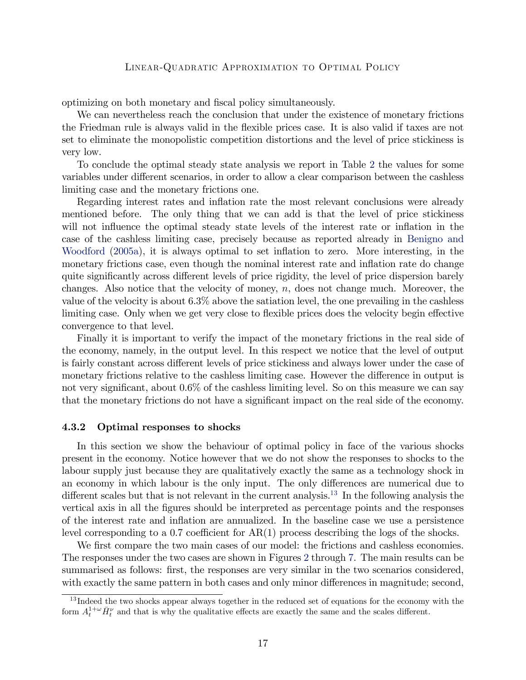optimizing on both monetary and Öscal policy simultaneously.

We can nevertheless reach the conclusion that under the existence of monetary frictions the Friedman rule is always valid in the flexible prices case. It is also valid if taxes are not set to eliminate the monopolistic competition distortions and the level of price stickiness is very low.

To conclude the optimal steady state analysis we report in Table [2](#page-34-0) the values for some variables under different scenarios, in order to allow a clear comparison between the cashless limiting case and the monetary frictions one.

Regarding interest rates and inflation rate the most relevant conclusions were already mentioned before. The only thing that we can add is that the level of price stickiness will not influence the optimal steady state levels of the interest rate or inflation in the case of the cashless limiting case, precisely because as reported already in [Benigno and](#page-29-4) [Woodford](#page-29-4) [\(2005a\)](#page-29-4), it is always optimal to set inflation to zero. More interesting, in the monetary frictions case, even though the nominal interest rate and inflation rate do change quite significantly across different levels of price rigidity, the level of price dispersion barely changes. Also notice that the velocity of money,  $n$ , does not change much. Moreover, the value of the velocity is about 6.3% above the satiation level, the one prevailing in the cashless limiting case. Only when we get very close to flexible prices does the velocity begin effective convergence to that level.

Finally it is important to verify the impact of the monetary frictions in the real side of the economy, namely, in the output level. In this respect we notice that the level of output is fairly constant across different levels of price stickiness and always lower under the case of monetary frictions relative to the cashless limiting case. However the difference in output is not very significant, about  $0.6\%$  of the cashless limiting level. So on this measure we can say that the monetary frictions do not have a significant impact on the real side of the economy.

#### 4.3.2 Optimal responses to shocks

In this section we show the behaviour of optimal policy in face of the various shocks present in the economy. Notice however that we do not show the responses to shocks to the labour supply just because they are qualitatively exactly the same as a technology shock in an economy in which labour is the only input. The only differences are numerical due to different scales but that is not relevant in the current analysis.<sup>[13](#page-16-0)</sup> In the following analysis the vertical axis in all the Ögures should be interpreted as percentage points and the responses of the interest rate and ináation are annualized. In the baseline case we use a persistence level corresponding to a 0.7 coefficient for  $AR(1)$  process describing the logs of the shocks.

We first compare the two main cases of our model: the frictions and cashless economies. The responses under the two cases are shown in Figures [2](#page-35-0) through [7.](#page-40-0) The main results can be summarised as follows: first, the responses are very similar in the two scenarios considered, with exactly the same pattern in both cases and only minor differences in magnitude; second,

<span id="page-16-0"></span> $13$  Indeed the two shocks appear always together in the reduced set of equations for the economy with the form  $A_t^{1+\omega} \bar{H}_t^{\nu}$  and that is why the qualitative effects are exactly the same and the scales different.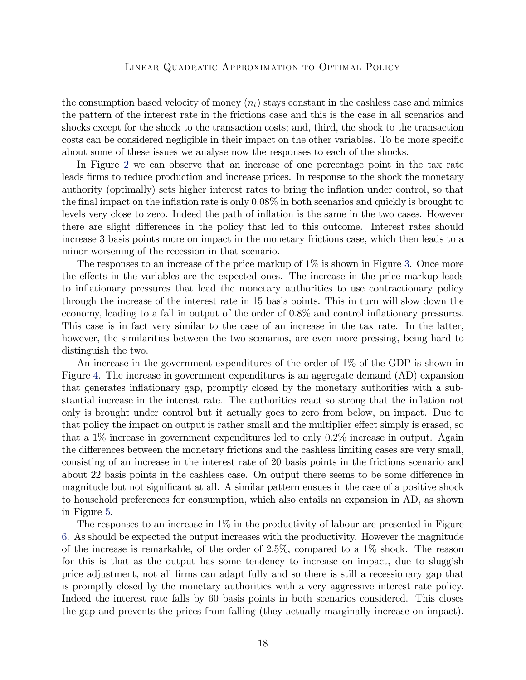the consumption based velocity of money  $(n_t)$  stays constant in the cashless case and mimics the pattern of the interest rate in the frictions case and this is the case in all scenarios and shocks except for the shock to the transaction costs; and, third, the shock to the transaction costs can be considered negligible in their impact on the other variables. To be more specific about some of these issues we analyse now the responses to each of the shocks.

In Figure [2](#page-35-0) we can observe that an increase of one percentage point in the tax rate leads firms to reduce production and increase prices. In response to the shock the monetary authority (optimally) sets higher interest rates to bring the ináation under control, so that the final impact on the inflation rate is only  $0.08\%$  in both scenarios and quickly is brought to levels very close to zero. Indeed the path of ináation is the same in the two cases. However there are slight differences in the policy that led to this outcome. Interest rates should increase 3 basis points more on impact in the monetary frictions case, which then leads to a minor worsening of the recession in that scenario.

The responses to an increase of the price markup of  $1\%$  is shown in Figure [3.](#page-36-0) Once more the effects in the variables are the expected ones. The increase in the price markup leads to ináationary pressures that lead the monetary authorities to use contractionary policy through the increase of the interest rate in 15 basis points. This in turn will slow down the economy, leading to a fall in output of the order of  $0.8\%$  and control inflationary pressures. This case is in fact very similar to the case of an increase in the tax rate. In the latter, however, the similarities between the two scenarios, are even more pressing, being hard to distinguish the two.

An increase in the government expenditures of the order of 1% of the GDP is shown in Figure [4.](#page-37-0) The increase in government expenditures is an aggregate demand (AD) expansion that generates ináationary gap, promptly closed by the monetary authorities with a substantial increase in the interest rate. The authorities react so strong that the ináation not only is brought under control but it actually goes to zero from below, on impact. Due to that policy the impact on output is rather small and the multiplier effect simply is erased, so that a 1% increase in government expenditures led to only 0.2% increase in output. Again the differences between the monetary frictions and the cashless limiting cases are very small, consisting of an increase in the interest rate of 20 basis points in the frictions scenario and about 22 basis points in the cashless case. On output there seems to be some difference in magnitude but not significant at all. A similar pattern ensues in the case of a positive shock to household preferences for consumption, which also entails an expansion in AD, as shown in Figure [5.](#page-38-0)

The responses to an increase in 1% in the productivity of labour are presented in Figure [6.](#page-39-0) As should be expected the output increases with the productivity. However the magnitude of the increase is remarkable, of the order of  $2.5\%$ , compared to a  $1\%$  shock. The reason for this is that as the output has some tendency to increase on impact, due to sluggish price adjustment, not all Örms can adapt fully and so there is still a recessionary gap that is promptly closed by the monetary authorities with a very aggressive interest rate policy. Indeed the interest rate falls by 60 basis points in both scenarios considered. This closes the gap and prevents the prices from falling (they actually marginally increase on impact).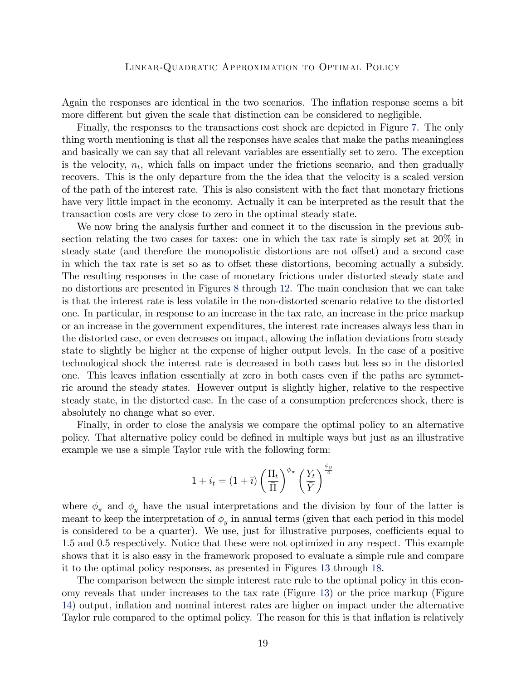Again the responses are identical in the two scenarios. The inflation response seems a bit more different but given the scale that distinction can be considered to negligible.

Finally, the responses to the transactions cost shock are depicted in Figure [7.](#page-40-0) The only thing worth mentioning is that all the responses have scales that make the paths meaningless and basically we can say that all relevant variables are essentially set to zero. The exception is the velocity,  $n_t$ , which falls on impact under the frictions scenario, and then gradually recovers. This is the only departure from the the idea that the velocity is a scaled version of the path of the interest rate. This is also consistent with the fact that monetary frictions have very little impact in the economy. Actually it can be interpreted as the result that the transaction costs are very close to zero in the optimal steady state.

We now bring the analysis further and connect it to the discussion in the previous subsection relating the two cases for taxes: one in which the tax rate is simply set at 20% in steady state (and therefore the monopolistic distortions are not offset) and a second case in which the tax rate is set so as to offset these distortions, becoming actually a subsidy. The resulting responses in the case of monetary frictions under distorted steady state and no distortions are presented in Figures [8](#page-41-0) through [12.](#page-45-0) The main conclusion that we can take is that the interest rate is less volatile in the non-distorted scenario relative to the distorted one. In particular, in response to an increase in the tax rate, an increase in the price markup or an increase in the government expenditures, the interest rate increases always less than in the distorted case, or even decreases on impact, allowing the inflation deviations from steady state to slightly be higher at the expense of higher output levels. In the case of a positive technological shock the interest rate is decreased in both cases but less so in the distorted one. This leaves ináation essentially at zero in both cases even if the paths are symmetric around the steady states. However output is slightly higher, relative to the respective steady state, in the distorted case. In the case of a consumption preferences shock, there is absolutely no change what so ever.

Finally, in order to close the analysis we compare the optimal policy to an alternative policy. That alternative policy could be defined in multiple ways but just as an illustrative example we use a simple Taylor rule with the following form:

$$
1 + i_t = (1 + \bar{\imath}) \left(\frac{\Pi_t}{\bar{\Pi}}\right)^{\phi_{\pi}} \left(\frac{Y_t}{\bar{Y}}\right)^{\frac{\phi_y}{4}}
$$

where  $\phi_{\pi}$  and  $\phi_{y}$  have the usual interpretations and the division by four of the latter is meant to keep the interpretation of  $\phi_y$  in annual terms (given that each period in this model is considered to be a quarter). We use, just for illustrative purposes, coefficients equal to 1.5 and 0.5 respectively. Notice that these were not optimized in any respect. This example shows that it is also easy in the framework proposed to evaluate a simple rule and compare it to the optimal policy responses, as presented in Figures [13](#page-46-0) through [18.](#page-51-0)

The comparison between the simple interest rate rule to the optimal policy in this economy reveals that under increases to the tax rate (Figure [13\)](#page-46-0) or the price markup (Figure [14\)](#page-47-0) output, ináation and nominal interest rates are higher on impact under the alternative Taylor rule compared to the optimal policy. The reason for this is that inflation is relatively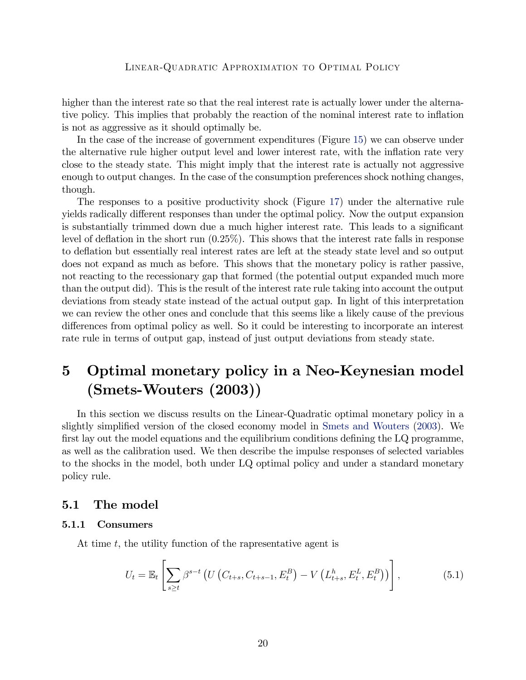higher than the interest rate so that the real interest rate is actually lower under the alternative policy. This implies that probably the reaction of the nominal interest rate to inflation is not as aggressive as it should optimally be.

In the case of the increase of government expenditures (Figure [15\)](#page-48-0) we can observe under the alternative rule higher output level and lower interest rate, with the inflation rate very close to the steady state. This might imply that the interest rate is actually not aggressive enough to output changes. In the case of the consumption preferences shock nothing changes, though.

The responses to a positive productivity shock (Figure [17\)](#page-50-0) under the alternative rule yields radically different responses than under the optimal policy. Now the output expansion is substantially trimmed down due a much higher interest rate. This leads to a significant level of deflation in the short run  $(0.25\%)$ . This shows that the interest rate falls in response to deáation but essentially real interest rates are left at the steady state level and so output does not expand as much as before. This shows that the monetary policy is rather passive, not reacting to the recessionary gap that formed (the potential output expanded much more than the output did). This is the result of the interest rate rule taking into account the output deviations from steady state instead of the actual output gap. In light of this interpretation we can review the other ones and conclude that this seems like a likely cause of the previous differences from optimal policy as well. So it could be interesting to incorporate an interest rate rule in terms of output gap, instead of just output deviations from steady state.

# <span id="page-19-0"></span>5 Optimal monetary policy in a Neo-Keynesian model (Smets-Wouters (2003))

In this section we discuss results on the Linear-Quadratic optimal monetary policy in a slightly simplified version of the closed economy model in [Smets and Wouters](#page-29-2) [\(2003\)](#page-29-2). We first lay out the model equations and the equilibrium conditions defining the  $LQ$  programme, as well as the calibration used. We then describe the impulse responses of selected variables to the shocks in the model, both under LQ optimal policy and under a standard monetary policy rule.

#### 5.1 The model

#### 5.1.1 Consumers

At time t, the utility function of the rapresentative agent is

$$
U_t = \mathbb{E}_t \left[ \sum_{s \ge t} \beta^{s-t} \left( U \left( C_{t+s}, C_{t+s-1}, E_t^B \right) - V \left( L_{t+s}^h, E_t^L, E_t^B \right) \right) \right],
$$
 (5.1)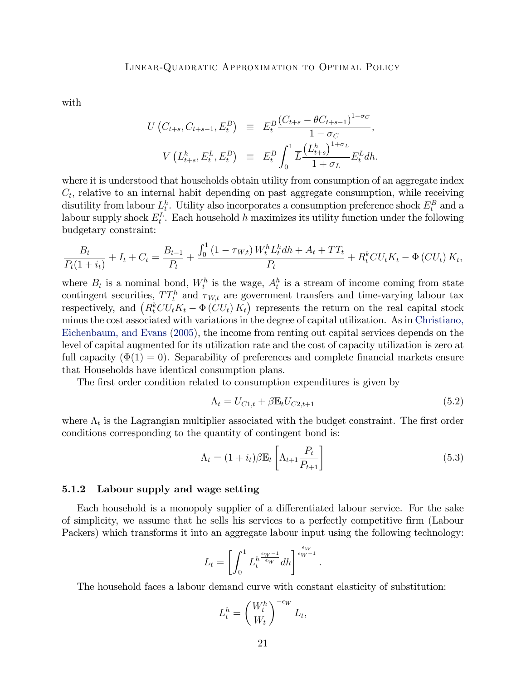with

$$
U(C_{t+s}, C_{t+s-1}, E_t^B) \equiv E_t^B \frac{(C_{t+s} - \theta C_{t+s-1})^{1-\sigma_C}}{1-\sigma_C},
$$
  

$$
V(L_{t+s}^h, E_t^L, E_t^B) \equiv E_t^B \int_0^1 \overline{L} \frac{(L_{t+s}^h)^{1+\sigma_L}}{1+\sigma_L} E_t^L dh.
$$

where it is understood that households obtain utility from consumption of an aggregate index  $C_t$ , relative to an internal habit depending on past aggregate consumption, while receiving disutility from labour  $L_t^h$ . Utility also incorporates a consumption preference shock  $E_t^B$  and a labour supply shock  $E_t^L$ . Each household h maximizes its utility function under the following budgetary constraint:

$$
\frac{B_t}{P_t(1+i_t)} + I_t + C_t = \frac{B_{t-1}}{P_t} + \frac{\int_0^1 (1 - \tau_{W,t}) W_t^h L_t^h dh + A_t + TT_t}{P_t} + R_t^k CU_t K_t - \Phi (CU_t) K_t,
$$

where  $B_t$  is a nominal bond,  $W_t^h$  is the wage,  $A_t^h$  is a stream of income coming from state contingent securities,  $TT_t^h$  and  $\tau_{W,t}$  are government transfers and time-varying labour tax respectively, and  $(R_t^kCU_tK_t - \Phi(CU_t)K_t)$  represents the return on the real capital stock minus the cost associated with variations in the degree of capital utilization. As in [Christiano,](#page-29-8) [Eichenbaum, and Evans](#page-29-8) [\(2005\)](#page-29-8), the income from renting out capital services depends on the level of capital augmented for its utilization rate and the cost of capacity utilization is zero at full capacity  $(\Phi(1) = 0)$ . Separability of preferences and complete financial markets ensure that Households have identical consumption plans.

The first order condition related to consumption expenditures is given by

$$
\Lambda_t = U_{C1,t} + \beta \mathbb{E}_t U_{C2,t+1}
$$
\n(5.2)

where  $\Lambda_t$  is the Lagrangian multiplier associated with the budget constraint. The first order conditions corresponding to the quantity of contingent bond is:

$$
\Lambda_t = (1 + i_t)\beta \mathbb{E}_t \left[ \Lambda_{t+1} \frac{P_t}{P_{t+1}} \right]
$$
\n(5.3)

:

#### 5.1.2 Labour supply and wage setting

Each household is a monopoly supplier of a differentiated labour service. For the sake of simplicity, we assume that he sells his services to a perfectly competitive Örm (Labour Packers) which transforms it into an aggregate labour input using the following technology:

$$
L_t = \left[ \int_0^1 L_t^{h \frac{\epsilon_W - 1}{\epsilon_W}} dh \right]^{\frac{\epsilon_W}{\epsilon_W - 1}}
$$

The household faces a labour demand curve with constant elasticity of substitution:

$$
L_t^h = \left(\frac{W_t^h}{W_t}\right)^{-\epsilon_W} L_t,
$$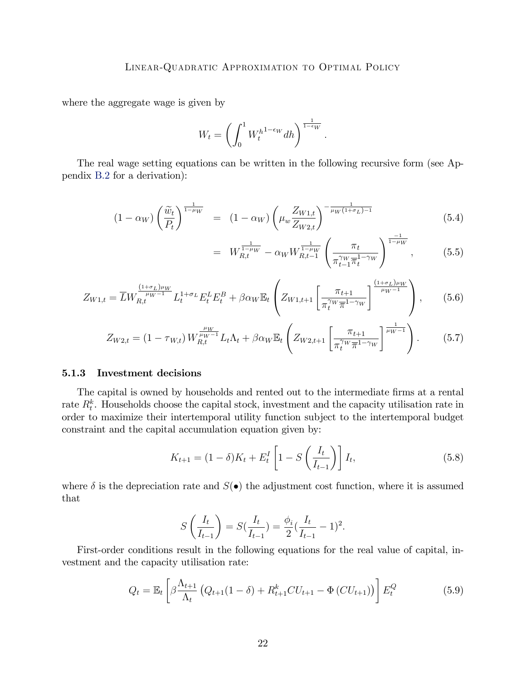where the aggregate wage is given by

$$
W_t = \left(\int_0^1 W_t^{h^{1-\epsilon_W}} dh\right)^{\frac{1}{1-\epsilon_W}}.
$$

The real wage setting equations can be written in the following recursive form (see Appendix [B.2](#page-52-0) for a derivation):

$$
(1 - \alpha_W) \left(\frac{\widetilde{w}_t}{P_t}\right)^{\frac{1}{1 - \mu_W}} = (1 - \alpha_W) \left(\mu_w \frac{Z_{W1,t}}{Z_{W2,t}}\right)^{-\frac{1}{\mu_W(1 + \sigma_L) - 1}}
$$
(5.4)

$$
= W_{R,t}^{\frac{1}{1-\mu_W}} - \alpha_W W_{R,t-1}^{\frac{1}{1-\mu_W}} \left( \frac{\pi_t}{\pi_{t-1}^{\gamma_W} \pi_t^{1-\gamma_W}} \right)^{\frac{-1}{1-\mu_W}}, \quad (5.5)
$$

$$
Z_{W1,t} = \overline{L} W_{R,t}^{\frac{(1+\sigma_L)\mu_W}{\mu_W - 1}} L_t^{1+\sigma_L} E_t^L E_t^B + \beta \alpha_W \mathbb{E}_t \left( Z_{W1,t+1} \left[ \frac{\pi_{t+1}}{\pi_t^{\gamma_W} \overline{\pi}^{1-\gamma_W}} \right]^{\frac{(1+\sigma_L)\mu_W}{\mu_W - 1}} \right), \quad (5.6)
$$

$$
Z_{W2,t} = (1 - \tau_{W,t}) W_{R,t}^{\frac{\mu_W}{\mu_W - 1}} L_t \Lambda_t + \beta \alpha_W \mathbb{E}_t \left( Z_{W2,t+1} \left[ \frac{\pi_{t+1}}{\pi_t^{\gamma_W} \overline{\pi}^{1 - \gamma_W}} \right]^{\frac{1}{\mu_W - 1}} \right). \tag{5.7}
$$

#### 5.1.3 Investment decisions

The capital is owned by households and rented out to the intermediate firms at a rental rate  $R_t^k$ . Households choose the capital stock, investment and the capacity utilisation rate in order to maximize their intertemporal utility function subject to the intertemporal budget constraint and the capital accumulation equation given by:

$$
K_{t+1} = (1 - \delta)K_t + E_t^I \left[ 1 - S\left(\frac{I_t}{I_{t-1}}\right) \right] I_t,
$$
\n(5.8)

where  $\delta$  is the depreciation rate and  $S(\bullet)$  the adjustment cost function, where it is assumed that

$$
S\left(\frac{I_t}{I_{t-1}}\right) = S(\frac{I_t}{I_{t-1}}) = \frac{\phi_i}{2}(\frac{I_t}{I_{t-1}} - 1)^2.
$$

First-order conditions result in the following equations for the real value of capital, investment and the capacity utilisation rate:

$$
Q_t = \mathbb{E}_t \left[ \beta \frac{\Lambda_{t+1}}{\Lambda_t} \left( Q_{t+1} (1 - \delta) + R_{t+1}^k C U_{t+1} - \Phi(C U_{t+1}) \right) \right] E_t^Q \tag{5.9}
$$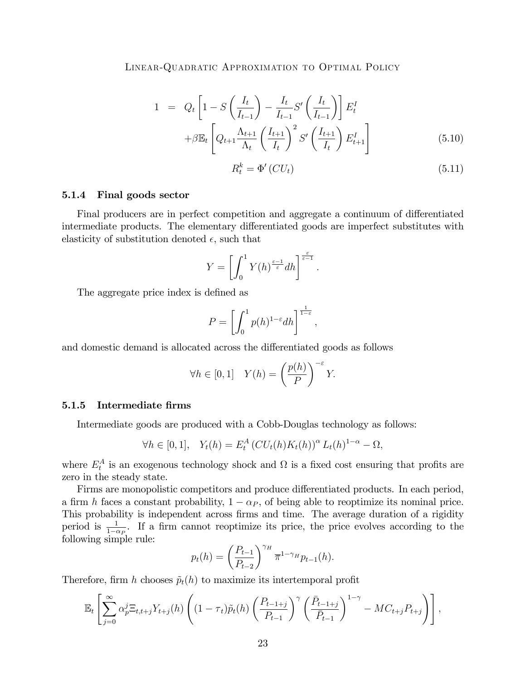$$
1 = Q_t \left[ 1 - S \left( \frac{I_t}{I_{t-1}} \right) - \frac{I_t}{I_{t-1}} S' \left( \frac{I_t}{I_{t-1}} \right) \right] E_t^I
$$
  
+
$$
\beta \mathbb{E}_t \left[ Q_{t+1} \frac{\Lambda_{t+1}}{\Lambda_t} \left( \frac{I_{t+1}}{I_t} \right)^2 S' \left( \frac{I_{t+1}}{I_t} \right) E_{t+1}^I \right]
$$
(5.10)

:

$$
R_t^k = \Phi'(CU_t) \tag{5.11}
$$

#### 5.1.4 Final goods sector

Final producers are in perfect competition and aggregate a continuum of differentiated intermediate products. The elementary differentiated goods are imperfect substitutes with elasticity of substitution denoted  $\epsilon$ , such that

$$
Y = \left[\int_0^1 Y(h)^{\frac{\varepsilon - 1}{\varepsilon}} dh\right]^{\frac{\varepsilon}{\varepsilon - 1}}
$$

The aggregate price index is defined as

$$
P = \left[ \int_0^1 p(h)^{1-\varepsilon} dh \right]^{\frac{1}{1-\varepsilon}},
$$

and domestic demand is allocated across the differentiated goods as follows

$$
\forall h \in [0, 1] \quad Y(h) = \left(\frac{p(h)}{P}\right)^{-\varepsilon} Y.
$$

#### 5.1.5 Intermediate firms

Intermediate goods are produced with a Cobb-Douglas technology as follows:

$$
\forall h \in [0,1], \quad Y_t(h) = E_t^A (CU_t(h)K_t(h))^{\alpha} L_t(h)^{1-\alpha} - \Omega,
$$

where  $E_t^A$  is an exogenous technology shock and  $\Omega$  is a fixed cost ensuring that profits are zero in the steady state.

Firms are monopolistic competitors and produce differentiated products. In each period, a firm h faces a constant probability,  $1 - \alpha_P$ , of being able to reoptimize its nominal price. This probability is independent across firms and time. The average duration of a rigidity period is  $\frac{1}{1-\alpha p}$ . If a firm cannot reoptimize its price, the price evolves according to the following simple rule:

$$
p_t(h) = \left(\frac{P_{t-1}}{P_{t-2}}\right)^{\gamma_H} \overline{\pi}^{1-\gamma_H} p_{t-1}(h).
$$

Therefore, firm h chooses  $\tilde{p}_t(h)$  to maximize its intertemporal profit

$$
\mathbb{E}_t\left[\sum_{j=0}^{\infty}\alpha_p^j\mathbb{E}_{t,t+j}Y_{t+j}(h)\left((1-\tau_t)\tilde{p}_t(h)\left(\frac{P_{t-1+j}}{P_{t-1}}\right)^{\gamma}\left(\frac{\bar{P}_{t-1+j}}{\bar{P}_{t-1}}\right)^{1-\gamma}-MC_{t+j}P_{t+j}\right)\right],
$$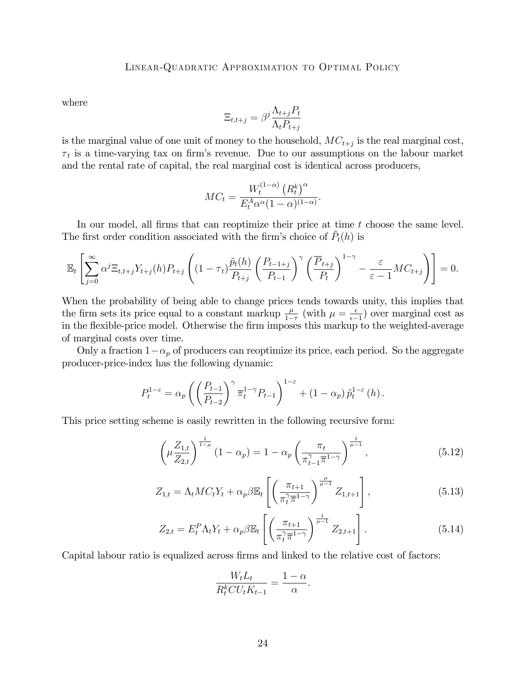where

$$
\Xi_{t,t+j} = \beta^j \frac{\Lambda_{t+j} P_t}{\Lambda_t P_{t+j}}
$$

is the marginal value of one unit of money to the household,  $MC_{t+j}$  is the real marginal cost,  $\tau_t$  is a time-varying tax on firm's revenue. Due to our assumptions on the labour market and the rental rate of capital, the real marginal cost is identical across producers,

$$
MC_t = \frac{W_t^{(1-\alpha)} (R_t^k)^{\alpha}}{E_t^A \alpha^{\alpha} (1-\alpha)^{(1-\alpha)}}.
$$

In our model, all firms that can reoptimize their price at time  $t$  choose the same level. The first order condition associated with the firm's choice of  $\tilde{P}_t(h)$  is

$$
\mathbb{E}_t\left[\sum_{j=0}^{\infty} \alpha^j \Xi_{t,t+j} Y_{t+j}(h) P_{t+j}\left((1-\tau_t)\frac{\tilde{p}_t(h)}{P_{t+j}}\left(\frac{P_{t-1+j}}{P_{t-1}}\right)^{\gamma}\left(\frac{\overline{P}_{t+j}}{P_t}\right)^{1-\gamma} - \frac{\varepsilon}{\varepsilon-1}MC_{t+j}\right)\right] = 0.
$$

When the probability of being able to change prices tends towards unity, this implies that the firm sets its price equal to a constant markup  $\frac{\mu}{1-\tau}$  (with  $\mu = \frac{\epsilon}{\epsilon - \tau}$ )  $\frac{\epsilon}{\epsilon-1}$  over marginal cost as in the flexible-price model. Otherwise the firm imposes this markup to the weighted-average of marginal costs over time.

Only a fraction  $1-\alpha_p$  of producers can reoptimize its price, each period. So the aggregate producer-price-index has the following dynamic:

$$
P_t^{1-\varepsilon} = \alpha_p \left( \left( \frac{P_{t-1}}{P_{t-2}} \right)^{\gamma} \overline{\pi}_t^{1-\gamma} P_{t-1} \right)^{1-\varepsilon} + (1-\alpha_p) \, \tilde{p}_t^{1-\varepsilon} \left( h \right).
$$

This price setting scheme is easily rewritten in the following recursive form:

$$
\left(\mu \frac{Z_{1,t}}{Z_{2,t}}\right)^{\frac{1}{1-\mu}} (1-\alpha_p) = 1 - \alpha_p \left(\frac{\pi_t}{\pi_{t-1}^{\gamma} \overline{\pi}^{1-\gamma}}\right)^{\frac{1}{\mu-1}},
$$
\n(5.12)

$$
Z_{1,t} = \Lambda_t M C_t Y_t + \alpha_p \beta \mathbb{E}_t \left[ \left( \frac{\pi_{t+1}}{\pi_t^{\gamma} \overline{\pi}^{1-\gamma}} \right)^{\frac{\mu}{\mu-1}} Z_{1,t+1} \right], \tag{5.13}
$$

$$
Z_{2,t} = E_t^P \Lambda_t Y_t + \alpha_p \beta \mathbb{E}_t \left[ \left( \frac{\pi_{t+1}}{\pi_t^{\gamma} \overline{\pi}^{1-\gamma}} \right)^{\frac{1}{\mu-1}} Z_{2,t+1} \right]. \tag{5.14}
$$

:

Capital labour ratio is equalized across firms and linked to the relative cost of factors:

$$
\frac{W_t L_t}{R_t^k C U_t K_{t-1}} = \frac{1-\alpha}{\alpha}
$$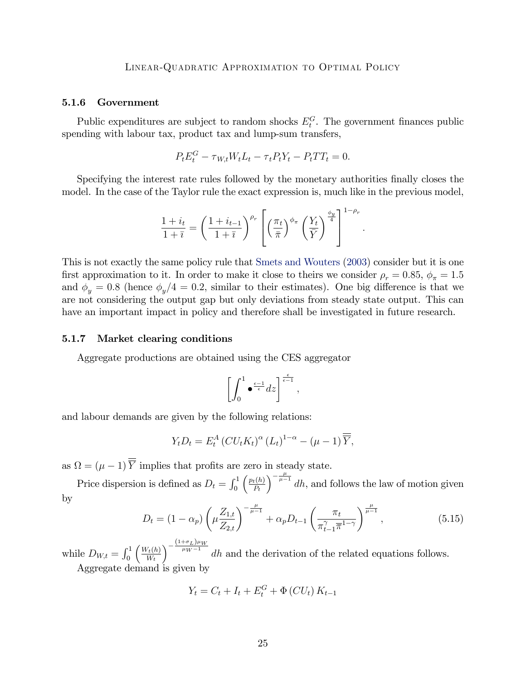#### 5.1.6 Government

Public expenditures are subject to random shocks  $E_t^G$ . The government finances public spending with labour tax, product tax and lump-sum transfers,

$$
P_t E_t^G - \tau_{W,t} W_t L_t - \tau_t P_t Y_t - P_t T T_t = 0.
$$

Specifying the interest rate rules followed by the monetary authorities finally closes the model. In the case of the Taylor rule the exact expression is, much like in the previous model,

$$
\frac{1+i_t}{1+\overline{i}} = \left(\frac{1+i_{t-1}}{1+\overline{i}}\right)^{\rho_r} \left[ \left(\frac{\pi_t}{\overline{\pi}}\right)^{\phi_{\pi}} \left(\frac{Y_t}{\overline{Y}}\right)^{\frac{\phi_y}{4}} \right]^{1-\rho_r}.
$$

This is not exactly the same policy rule that [Smets and Wouters](#page-29-2) [\(2003\)](#page-29-2) consider but it is one first approximation to it. In order to make it close to theirs we consider  $\rho_r = 0.85$ ,  $\phi_{\pi} = 1.5$ and  $\phi_y = 0.8$  (hence  $\phi_y/4 = 0.2$ , similar to their estimates). One big difference is that we are not considering the output gap but only deviations from steady state output. This can have an important impact in policy and therefore shall be investigated in future research.

#### 5.1.7 Market clearing conditions

Aggregate productions are obtained using the CES aggregator

$$
\left[\int_0^1\bullet^{\frac{\epsilon-1}{\epsilon}}dz\right]^{\frac{\epsilon}{\epsilon-1}},
$$

and labour demands are given by the following relations:

$$
Y_t D_t = E_t^A \left( C U_t K_t \right)^\alpha \left( L_t \right)^{1-\alpha} - \left( \mu - 1 \right) \overline{\overline{Y}},
$$

as  $\Omega = (\mu - 1) Y$  implies that profits are zero in steady state.

Price dispersion is defined as  $D_t = \int_0^1$  $\int p_t(h)$  $P_t$  $\int_{0}^{-\frac{\mu}{\mu-1}} dh$ , and follows the law of motion given by

$$
D_t = (1 - \alpha_p) \left( \mu \frac{Z_{1,t}}{Z_{2,t}} \right)^{-\frac{\mu}{\mu - 1}} + \alpha_p D_{t-1} \left( \frac{\pi_t}{\pi_{t-1}^{\gamma} \overline{\pi}^{1-\gamma}} \right)^{\frac{\mu}{\mu - 1}}, \tag{5.15}
$$

while  $D_{W,t} = \int_0^1$  $\int W_t(h)$  $W_t$  $\sqrt{-\frac{(1+\sigma_L)\mu_W}{\mu_W-1}}$  $\mu_{W^{-1}}$  dh and the derivation of the related equations follows. Aggregate demand is given by

$$
Y_t = C_t + I_t + E_t^G + \Phi(CU_t) K_{t-1}
$$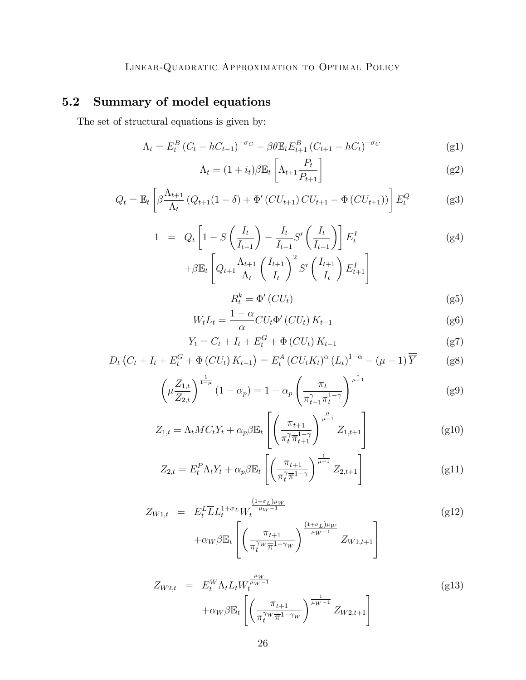# 5.2 Summary of model equations

The set of structural equations is given by:

<span id="page-25-1"></span>
$$
\Lambda_t = E_t^B (C_t - hC_{t-1})^{-\sigma_C} - \beta \theta \mathbb{E}_t E_{t+1}^B (C_{t+1} - hC_t)^{-\sigma_C}
$$
 (g1)

<span id="page-25-0"></span>
$$
\Lambda_t = (1 + i_t)\beta \mathbb{E}_t \left[ \Lambda_{t+1} \frac{P_t}{P_{t+1}} \right]
$$
\n
$$
\tag{g2}
$$

$$
Q_t = \mathbb{E}_t \left[ \beta \frac{\Lambda_{t+1}}{\Lambda_t} \left( Q_{t+1} (1 - \delta) + \Phi'(CU_{t+1}) CU_{t+1} - \Phi(CU_{t+1}) \right) \right] E_t^Q \tag{g3}
$$

$$
1 = Q_t \left[ 1 - S \left( \frac{I_t}{I_{t-1}} \right) - \frac{I_t}{I_{t-1}} S' \left( \frac{I_t}{I_{t-1}} \right) \right] E_t^I
$$
  
+
$$
\beta \mathbb{E}_t \left[ Q_{t+1} \frac{\Lambda_{t+1}}{\Lambda_t} \left( \frac{I_{t+1}}{I_t} \right)^2 S' \left( \frac{I_{t+1}}{I_t} \right) E_{t+1}^I \right]
$$
 (g4)

$$
R_t^k = \Phi'(CU_t) \tag{g5}
$$

$$
W_t L_t = \frac{1 - \alpha}{\alpha} C U_t \Phi'(CU_t) K_{t-1}
$$
 (g6)

$$
Y_t = C_t + I_t + E_t^G + \Phi(CU_t) K_{t-1}
$$
 (g7)

$$
D_t \left( C_t + I_t + E_t^G + \Phi \left( CU_t \right) K_{t-1} \right) = E_t^A \left( CU_t K_t \right)^\alpha \left( L_t \right)^{1-\alpha} - \left( \mu - 1 \right) \overline{Y} \tag{g8}
$$

$$
\left(\mu \frac{Z_{1,t}}{Z_{2,t}}\right)^{\frac{1}{1-\mu}} (1-\alpha_p) = 1 - \alpha_p \left(\frac{\pi_t}{\pi_{t-1}^{\gamma} \overline{\pi}_t^{1-\gamma}}\right)^{\frac{1}{\mu-1}}
$$
(g9)

$$
Z_{1,t} = \Lambda_t M C_t Y_t + \alpha_p \beta \mathbb{E}_t \left[ \left( \frac{\pi_{t+1}}{\pi_t^{\gamma} \pi_{t+1}^{1-\gamma}} \right)^{\frac{\mu}{\mu-1}} Z_{1,t+1} \right]
$$
(g10)

$$
Z_{2,t} = E_t^P \Lambda_t Y_t + \alpha_p \beta \mathbb{E}_t \left[ \left( \frac{\pi_{t+1}}{\pi_t^{\gamma} \overline{\pi}^{1-\gamma}} \right)^{\frac{1}{\mu-1}} Z_{2,t+1} \right]
$$
(g11)

$$
Z_{W1,t} = E_t^L \overline{L} L_t^{1+\sigma_L} W_t^{\frac{(1+\sigma_L)\mu_W}{\mu_W - 1}}
$$
  
+ $\alpha_W \beta \mathbb{E}_t \left[ \left( \frac{\pi_{t+1}}{\pi_t^{\gamma_W} \overline{\pi}^{1-\gamma_W}} \right)^{\frac{(1+\sigma_L)\mu_W}{\mu_W - 1}} Z_{W1,t+1} \right]$  (g12)

$$
Z_{W2,t} = E_t^W \Lambda_t L_t W_t^{\frac{\mu_W}{\mu_W - 1}} + \alpha_W \beta \mathbb{E}_t \left[ \left( \frac{\pi_{t+1}}{\pi_t^{\gamma_W} \overline{\pi}^{1 - \gamma_W}} \right)^{\frac{1}{\mu_W - 1}} Z_{W2,t+1} \right]
$$
(g13)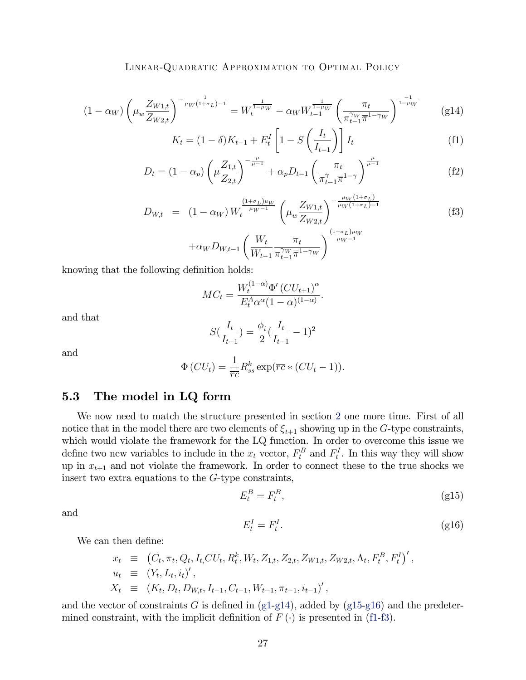$$
(1 - \alpha_W) \left(\mu_w \frac{Z_{W1,t}}{Z_{W2,t}}\right)^{-\frac{1}{\mu_W(1 + \sigma_L) - 1}} = W_t^{\frac{1}{1 - \mu_W}} - \alpha_W W_{t-1}^{\frac{1}{1 - \mu_W}} \left(\frac{\pi_t}{\pi_{t-1}^{\gamma_W} \pi^{1 - \gamma_W}}\right)^{\frac{-1}{1 - \mu_W}} \tag{g14}
$$

<span id="page-26-3"></span><span id="page-26-0"></span>
$$
K_t = (1 - \delta)K_{t-1} + E_t^I \left[1 - S\left(\frac{I_t}{I_{t-1}}\right)\right] I_t
$$
 (f1)

$$
D_{t} = (1 - \alpha_{p}) \left( \mu \frac{Z_{1,t}}{Z_{2,t}} \right)^{-\frac{\mu}{\mu - 1}} + \alpha_{p} D_{t-1} \left( \frac{\pi_{t}}{\pi_{t-1}^{\gamma} \overline{\pi}^{1-\gamma}} \right)^{\frac{\mu}{\mu - 1}}
$$
(f2)

$$
D_{W,t} = (1 - \alpha_W) W_t^{\frac{(1+\sigma_L)\mu_W}{\mu_W - 1}} \left( \mu_w \frac{Z_{W1,t}}{Z_{W2,t}} \right)^{-\frac{\mu_W (1+\sigma_L)}{\mu_W (1+\sigma_L) - 1}} \tag{f3}
$$

$$
+\alpha_W D_{W,t-1} \left(\frac{W_t}{W_{t-1}} \frac{\pi_t}{\pi_{t-1}^{\gamma_W} \pi^{1-\gamma_W}}\right)^{\frac{(1+\sigma_L)\mu_W}{\mu_W-1}}
$$

knowing that the following definition holds:

$$
MC_t = \frac{W_t^{(1-\alpha)} \Phi'(CU_{t+1})^{\alpha}}{E_t^A \alpha^{\alpha} (1-\alpha)^{(1-\alpha)}}.
$$

and that

$$
S(\frac{I_t}{I_{t-1}}) = \frac{\phi_i}{2}(\frac{I_t}{I_{t-1}} - 1)^2
$$

and

$$
\Phi\left(CU_t\right) = \frac{1}{\overline{rc}} R_{ss}^k \exp\left(\overline{rc} * \left(CU_t - 1\right)\right).
$$

#### 5.3 The model in LQ form

We now need to match the structure presented in section [2](#page-2-0) one more time. First of all notice that in the model there are two elements of  $\xi_{t+1}$  showing up in the G-type constraints, which would violate the framework for the LQ function. In order to overcome this issue we define two new variables to include in the  $x_t$  vector,  $F_t^B$  and  $F_t^I$ . In this way they will show up in  $x_{t+1}$  and not violate the framework. In order to connect these to the true shocks we insert two extra equations to the G-type constraints,

<span id="page-26-1"></span>
$$
E_t^B = F_t^B,\t\t(g15)
$$

and

<span id="page-26-2"></span>
$$
E_t^I = F_t^I. \tag{g16}
$$

;

We can then define:

$$
x_t \equiv (C_t, \pi_t, Q_t, I_t, CU_t, R_t^k, W_t, Z_{1,t}, Z_{2,t}, Z_{W_{1,t}}, Z_{W_{2,t}}, \Lambda_t, F_t^B, F_t^I)^{'}
$$
  
\n
$$
u_t \equiv (Y_t, L_t, i_t)'
$$
,  
\n
$$
X_t \equiv (K_t, D_t, D_{W,t}, I_{t-1}, C_{t-1}, W_{t-1}, \pi_{t-1}, i_{t-1})'
$$
,

and the vector of constraints G is defined in  $(g1-g14)$  $(g1-g14)$ , added by  $(g15-g16)$  $(g15-g16)$  and the predetermined constraint, with the implicit definition of  $F(\cdot)$  is presented in [\(f1-](#page-26-3)[f3\)](#page-25-1).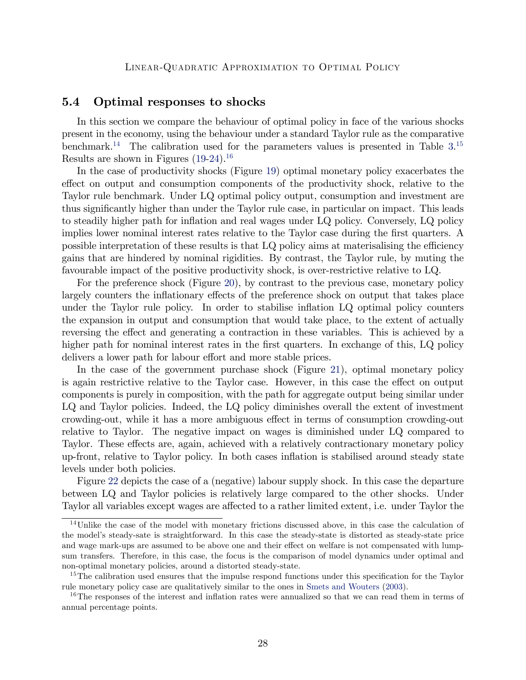#### 5.4 Optimal responses to shocks

In this section we compare the behaviour of optimal policy in face of the various shocks present in the economy, using the behaviour under a standard Taylor rule as the comparative benchmark.<sup>[14](#page-27-0)</sup> The calibration used for the parameters values is presented in Table  $3$ .<sup>[15](#page-27-1)</sup> Results are shown in Figures  $(19-24).^{16}$  $(19-24).^{16}$  $(19-24).^{16}$  $(19-24).^{16}$  $(19-24).^{16}$ 

In the case of productivity shocks (Figure [19\)](#page-56-0) optimal monetary policy exacerbates the effect on output and consumption components of the productivity shock, relative to the Taylor rule benchmark. Under LQ optimal policy output, consumption and investment are thus significantly higher than under the Taylor rule case, in particular on impact. This leads to steadily higher path for inflation and real wages under LQ policy. Conversely, LQ policy implies lower nominal interest rates relative to the Taylor case during the first quarters. A possible interpretation of these results is that LQ policy aims at materisalising the efficiency gains that are hindered by nominal rigidities. By contrast, the Taylor rule, by muting the favourable impact of the positive productivity shock, is over-restrictive relative to LQ.

For the preference shock (Figure [20\)](#page-57-0), by contrast to the previous case, monetary policy largely counters the inflationary effects of the preference shock on output that takes place under the Taylor rule policy. In order to stabilise inflation LQ optimal policy counters the expansion in output and consumption that would take place, to the extent of actually reversing the effect and generating a contraction in these variables. This is achieved by a higher path for nominal interest rates in the first quarters. In exchange of this, LQ policy delivers a lower path for labour effort and more stable prices.

In the case of the government purchase shock (Figure [21\)](#page-58-0), optimal monetary policy is again restrictive relative to the Taylor case. However, in this case the effect on output components is purely in composition, with the path for aggregate output being similar under LQ and Taylor policies. Indeed, the LQ policy diminishes overall the extent of investment crowding-out, while it has a more ambiguous effect in terms of consumption crowding-out relative to Taylor. The negative impact on wages is diminished under LQ compared to Taylor. These effects are, again, achieved with a relatively contractionary monetary policy up-front, relative to Taylor policy. In both cases ináation is stabilised around steady state levels under both policies.

Figure [22](#page-59-0) depicts the case of a (negative) labour supply shock. In this case the departure between LQ and Taylor policies is relatively large compared to the other shocks. Under Taylor all variables except wages are affected to a rather limited extent, i.e. under Taylor the

<span id="page-27-0"></span><sup>14</sup>Unlike the case of the model with monetary frictions discussed above, in this case the calculation of the modelís steady-sate is straightforward. In this case the steady-state is distorted as steady-state price and wage mark-ups are assumed to be above one and their effect on welfare is not compensated with lumpsum transfers. Therefore, in this case, the focus is the comparison of model dynamics under optimal and non-optimal monetary policies, around a distorted steady-state.

<span id="page-27-1"></span><sup>&</sup>lt;sup>15</sup>The calibration used ensures that the impulse respond functions under this specification for the Taylor rule monetary policy case are qualitatively similar to the ones in [Smets and Wouters](#page-29-2) [\(2003\)](#page-29-2).

<span id="page-27-2"></span><sup>&</sup>lt;sup>16</sup>The responses of the interest and inflation rates were annualized so that we can read them in terms of annual percentage points.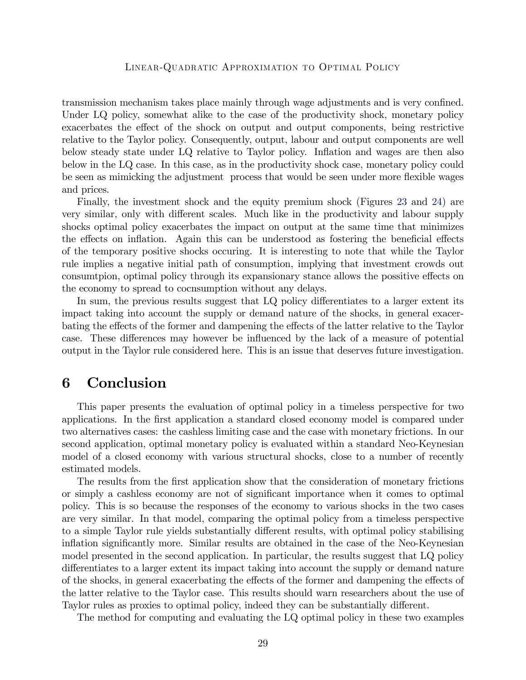transmission mechanism takes place mainly through wage adjustments and is very confined. Under LQ policy, somewhat alike to the case of the productivity shock, monetary policy exacerbates the effect of the shock on output and output components, being restrictive relative to the Taylor policy. Consequently, output, labour and output components are well below steady state under LQ relative to Taylor policy. Ináation and wages are then also below in the LQ case. In this case, as in the productivity shock case, monetary policy could be seen as mimicking the adjustment process that would be seen under more flexible wages and prices.

Finally, the investment shock and the equity premium shock (Figures [23](#page-60-0) and [24\)](#page-61-0) are very similar, only with different scales. Much like in the productivity and labour supply shocks optimal policy exacerbates the impact on output at the same time that minimizes the effects on inflation. Again this can be understood as fostering the beneficial effects of the temporary positive shocks occuring. It is interesting to note that while the Taylor rule implies a negative initial path of consumption, implying that investment crowds out consumtpion, optimal policy through its expansionary stance allows the possitive effects on the economy to spread to cocnsumption without any delays.

In sum, the previous results suggest that LQ policy differentiates to a larger extent its impact taking into account the supply or demand nature of the shocks, in general exacerbating the effects of the former and dampening the effects of the latter relative to the Taylor case. These differences may however be influenced by the lack of a measure of potential output in the Taylor rule considered here. This is an issue that deserves future investigation.

## <span id="page-28-0"></span>6 Conclusion

This paper presents the evaluation of optimal policy in a timeless perspective for two applications. In the first application a standard closed economy model is compared under two alternatives cases: the cashless limiting case and the case with monetary frictions. In our second application, optimal monetary policy is evaluated within a standard Neo-Keynesian model of a closed economy with various structural shocks, close to a number of recently estimated models.

The results from the first application show that the consideration of monetary frictions or simply a cashless economy are not of significant importance when it comes to optimal policy. This is so because the responses of the economy to various shocks in the two cases are very similar. In that model, comparing the optimal policy from a timeless perspective to a simple Taylor rule yields substantially different results, with optimal policy stabilising inflation significantly more. Similar results are obtained in the case of the Neo-Keynesian model presented in the second application. In particular, the results suggest that LQ policy differentiates to a larger extent its impact taking into account the supply or demand nature of the shocks, in general exacerbating the effects of the former and dampening the effects of the latter relative to the Taylor case. This results should warn researchers about the use of Taylor rules as proxies to optimal policy, indeed they can be substantially different.

The method for computing and evaluating the LQ optimal policy in these two examples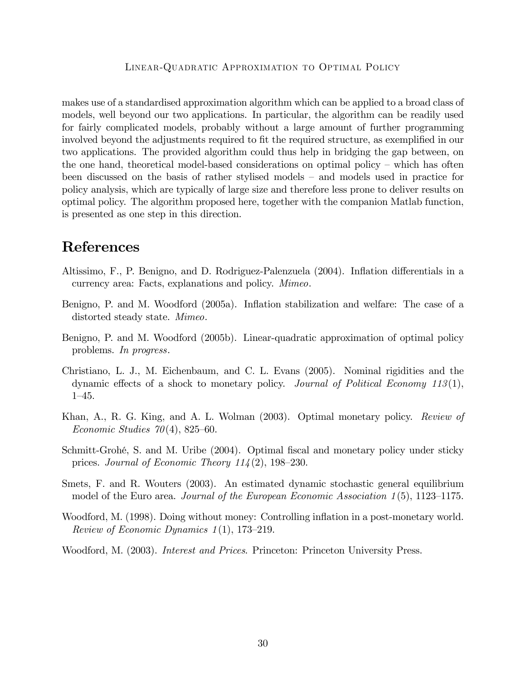makes use of a standardised approximation algorithm which can be applied to a broad class of models, well beyond our two applications. In particular, the algorithm can be readily used for fairly complicated models, probably without a large amount of further programming involved beyond the adjustments required to fit the required structure, as exemplified in our two applications. The provided algorithm could thus help in bridging the gap between, on the one hand, theoretical model-based considerations on optimal policy  $-$  which has often been discussed on the basis of rather stylised models  $-$  and models used in practice for policy analysis, which are typically of large size and therefore less prone to deliver results on optimal policy. The algorithm proposed here, together with the companion Matlab function, is presented as one step in this direction.

# References

- <span id="page-29-1"></span>Altissimo, F., P. Benigno, and D. Rodriguez-Palenzuela (2004). Inflation differentials in a currency area: Facts, explanations and policy. Mimeo.
- <span id="page-29-4"></span>Benigno, P. and M. Woodford (2005a). Inflation stabilization and welfare: The case of a distorted steady state. Mimeo.
- <span id="page-29-0"></span>Benigno, P. and M. Woodford (2005b). Linear-quadratic approximation of optimal policy problems. In progress.
- <span id="page-29-8"></span>Christiano, L. J., M. Eichenbaum, and C. L. Evans (2005). Nominal rigidities and the dynamic effects of a shock to monetary policy. Journal of Political Economy 113(1),  $1 - 45.$
- <span id="page-29-7"></span>Khan, A., R. G. King, and A. L. Wolman (2003). Optimal monetary policy. *Review of* Economic Studies  $70(4)$ , 825–60.
- <span id="page-29-5"></span>Schmitt-Grohé, S. and M. Uribe (2004). Optimal fiscal and monetary policy under sticky prices. Journal of Economic Theory  $114(2)$ , 198–230.
- <span id="page-29-2"></span>Smets, F. and R. Wouters (2003). An estimated dynamic stochastic general equilibrium model of the Euro area. Journal of the European Economic Association  $1(5)$ , 1123–1175.
- <span id="page-29-6"></span>Woodford, M. (1998). Doing without money: Controlling inflation in a post-monetary world. Review of Economic Dynamics  $1(1)$ , 173–219.
- <span id="page-29-3"></span>Woodford, M. (2003). *Interest and Prices*. Princeton: Princeton University Press.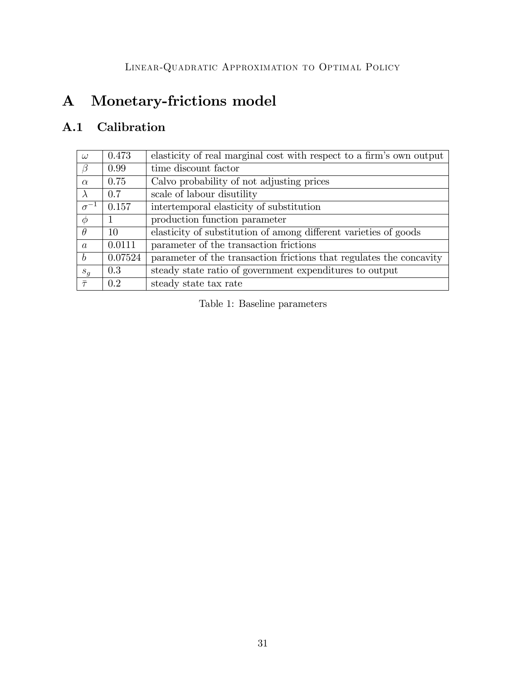# A Monetary-frictions model

# A.1 Calibration

| $\omega$         | 0.473   | elasticity of real marginal cost with respect to a firm's own output |
|------------------|---------|----------------------------------------------------------------------|
| $\beta$          | 0.99    | time discount factor                                                 |
| $\alpha$         | 0.75    | Calvo probability of not adjusting prices                            |
| $\lambda$        | 0.7     | scale of labour disutility                                           |
| $\sigma^{-1}$    | 0.157   | intertemporal elasticity of substitution                             |
| $\phi$           |         | production function parameter                                        |
| $\theta$         | 10      | elasticity of substitution of among different varieties of goods     |
| $\alpha$         | 0.0111  | parameter of the transaction frictions                               |
| $\boldsymbol{b}$ | 0.07524 | parameter of the transaction frictions that regulates the concavity  |
| $s_q$            | 0.3     | steady state ratio of government expenditures to output              |
| $\bar{\tau}$     | 02      | steady state tax rate                                                |

<span id="page-30-0"></span>Table 1: Baseline parameters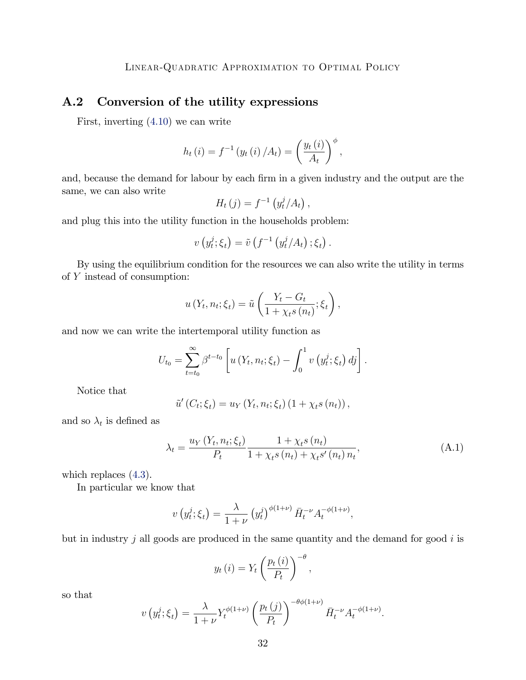### <span id="page-31-0"></span>A.2 Conversion of the utility expressions

First, inverting [\(4.10\)](#page-11-1) we can write

$$
h_t(i) = f^{-1}(y_t(i) / A_t) = \left(\frac{y_t(i)}{A_t}\right)^{\phi},
$$

and, because the demand for labour by each firm in a given industry and the output are the same, we can also write

$$
H_t(j) = f^{-1}\left(y_t^j/A_t\right),\,
$$

and plug this into the utility function in the households problem:

$$
v\left(y_t^j;\xi_t\right)=\tilde{v}\left(f^{-1}\left(y_t^j/A_t\right); \xi_t\right).
$$

By using the equilibrium condition for the resources we can also write the utility in terms of Y instead of consumption:

$$
u(Y_t, n_t; \xi_t) = \tilde{u}\left(\frac{Y_t - G_t}{1 + \chi_t s(n_t)}; \xi_t\right),
$$

and now we can write the intertemporal utility function as

$$
U_{t_0} = \sum_{t=t_0}^{\infty} \beta^{t-t_0} \left[ u\left(Y_t, n_t; \xi_t\right) - \int_0^1 v\left(y_t^j; \xi_t\right) dy \right].
$$

Notice that

$$
\tilde{u}'(C_t; \xi_t) = u_Y(Y_t, n_t; \xi_t) (1 + \chi_t s(n_t)),
$$

and so  $\lambda_t$  is defined as

$$
\lambda_{t} = \frac{u_{Y}\left(Y_{t}, n_{t}; \xi_{t}\right)}{P_{t}} \frac{1 + \chi_{t}s\left(n_{t}\right)}{1 + \chi_{t}s\left(n_{t}\right) + \chi_{t}s'\left(n_{t}\right)n_{t}},\tag{A.1}
$$

which replaces  $(4.3)$ .

In particular we know that

$$
v(y_t^j; \xi_t) = \frac{\lambda}{1 + \nu} (y_t^j)^{\phi(1 + \nu)} \bar{H}_t^{-\nu} A_t^{-\phi(1 + \nu)},
$$

but in industry j all goods are produced in the same quantity and the demand for good  $i$  is

$$
y_t(i) = Y_t \left(\frac{p_t(i)}{P_t}\right)^{-\theta},
$$

so that

$$
v\left(y_t^j;\xi_t\right) = \frac{\lambda}{1+\nu} Y_t^{\phi(1+\nu)} \left(\frac{p_t\left(j\right)}{P_t}\right)^{-\theta\phi(1+\nu)} \bar{H}_t^{-\nu} A_t^{-\phi(1+\nu)}.
$$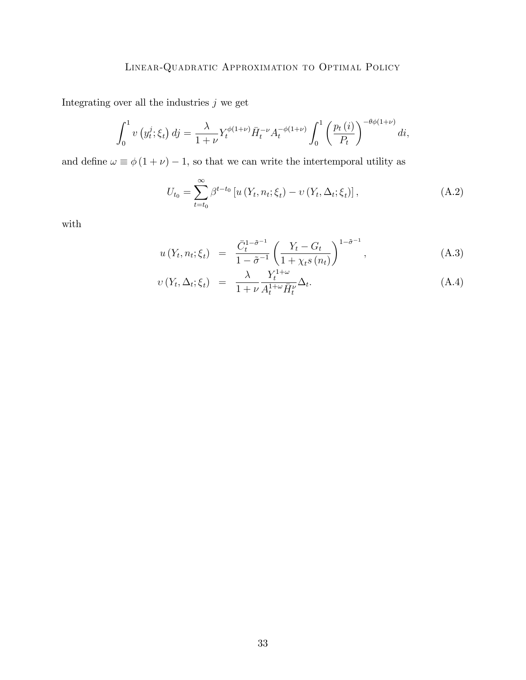Integrating over all the industries  $j$  we get

$$
\int_0^1 v\left(y_t^j; \xi_t\right) dj = \frac{\lambda}{1+\nu} Y_t^{\phi(1+\nu)} \bar{H}_t^{-\nu} A_t^{-\phi(1+\nu)} \int_0^1 \left(\frac{p_t\left(i\right)}{P_t}\right)^{-\theta\phi(1+\nu)} di,
$$

and define  $\omega \equiv \phi(1 + \nu) - 1$ , so that we can write the intertemporal utility as

$$
U_{t_0} = \sum_{t=t_0}^{\infty} \beta^{t-t_0} \left[ u\left(Y_t, n_t; \xi_t\right) - v\left(Y_t, \Delta_t; \xi_t\right) \right],\tag{A.2}
$$

with

$$
u(Y_t, n_t; \xi_t) = \frac{\bar{C}_t^{1-\tilde{\sigma}^{-1}}}{1-\tilde{\sigma}^{-1}} \left( \frac{Y_t - G_t}{1 + \chi_t s(n_t)} \right)^{1-\tilde{\sigma}^{-1}}, \tag{A.3}
$$

$$
v(Y_t, \Delta_t; \xi_t) = \frac{\lambda}{1 + \nu} \frac{Y_t^{1 + \omega}}{A_t^{1 + \omega} \bar{H}_t^{\nu}} \Delta_t.
$$
\n(A.4)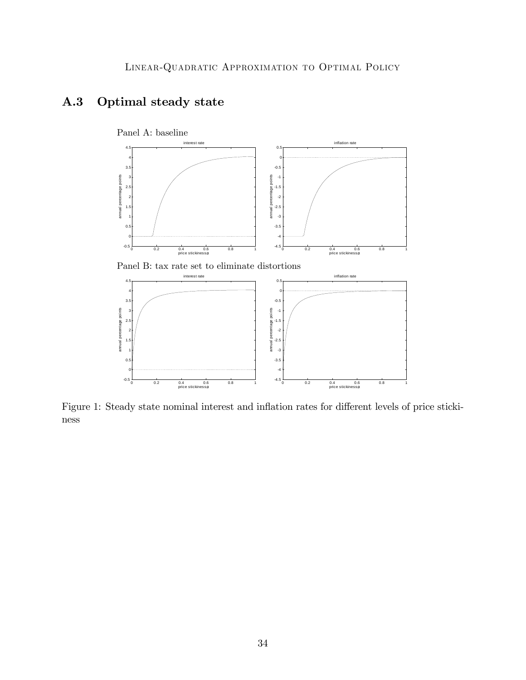



<span id="page-33-0"></span>Figure 1: Steady state nominal interest and inflation rates for different levels of price stickiness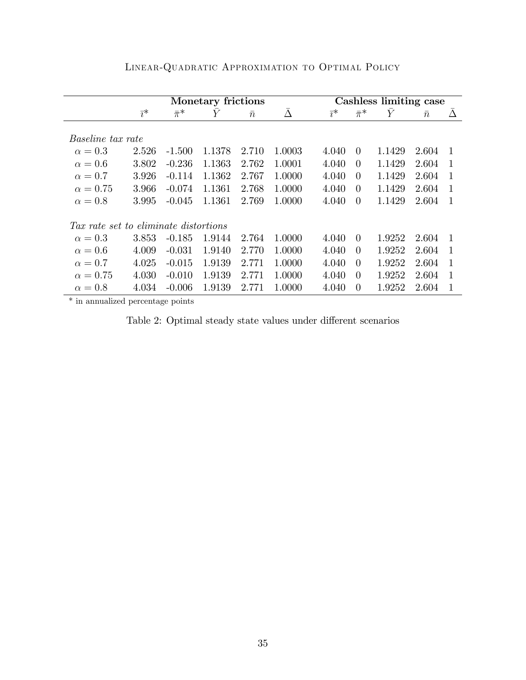|                                       | Monetary frictions |               |        |           |        | Cashless limiting case |               |           |           |                |
|---------------------------------------|--------------------|---------------|--------|-----------|--------|------------------------|---------------|-----------|-----------|----------------|
|                                       | $\bar{i}^*$        | $\bar{\pi}^*$ | Y      | $\bar{n}$ | Ā      | $\bar{i}^*$            | $\bar{\pi}^*$ | $\bar{Y}$ | $\bar{n}$ | Δ              |
|                                       |                    |               |        |           |        |                        |               |           |           |                |
| <i>Baseline tax rate</i>              |                    |               |        |           |        |                        |               |           |           |                |
| $\alpha=0.3$                          | 2.526              | $-1.500$      | 1.1378 | 2.710     | 1.0003 | 4.040                  | $\Omega$      | 1.1429    | 2.604     | -1             |
| $\alpha = 0.6$                        | 3.802              | $-0.236$      | 1.1363 | 2.762     | 1.0001 | 4.040                  | $\Omega$      | 1.1429    | 2.604     | -1             |
| $\alpha = 0.7$                        | 3.926              | $-0.114$      | 1.1362 | 2.767     | 1.0000 | 4.040                  | $\Omega$      | 1.1429    | 2.604     | $\mathbf{1}$   |
| $\alpha = 0.75$                       | 3.966              | $-0.074$      | 1.1361 | 2.768     | 1.0000 | 4.040                  | $\Omega$      | 1.1429    | 2.604     | 1              |
| $\alpha = 0.8$                        | 3.995              | $-0.045$      | 1.1361 | 2.769     | 1.0000 | 4.040                  | $\Omega$      | 1.1429    | 2.604     | -1             |
|                                       |                    |               |        |           |        |                        |               |           |           |                |
| Tax rate set to eliminate distortions |                    |               |        |           |        |                        |               |           |           |                |
| $\alpha = 0.3$                        | 3.853              | $-0.185$      | 1.9144 | 2.764     | 1.0000 | 4.040                  | $\theta$      | 1.9252    | 2.604     | $\overline{1}$ |
| $\alpha = 0.6$                        | 4.009              | $-0.031$      | 1.9140 | 2.770     | 1.0000 | 4.040                  | $\Omega$      | 1.9252    | 2.604     | $\overline{1}$ |
| $\alpha = 0.7$                        | 4.025              | $-0.015$      | 1.9139 | 2.771     | 1.0000 | 4.040                  | $\Omega$      | 1.9252    | 2.604     | 1              |
| $\alpha = 0.75$                       | 4.030              | $-0.010$      | 1.9139 | 2.771     | 1.0000 | 4.040                  | $\Omega$      | 1.9252    | 2.604     | 1              |
| $\alpha=0.8$                          | 4.034              | $-0.006$      | 1.9139 | 2.771     | 1.0000 | 4.040                  | $\Omega$      | 1.9252    | 2.604     | 1              |

Linear-Quadratic Approximation to Optimal Policy

\* in annualized percentage points

<span id="page-34-0"></span>Table 2: Optimal steady state values under different scenarios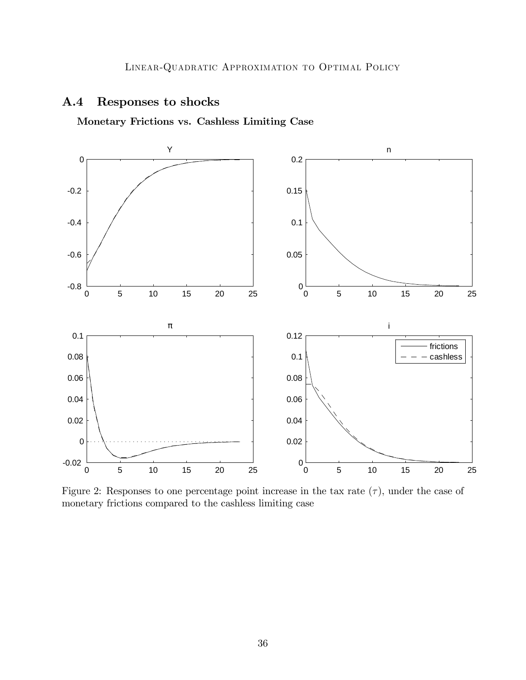### A.4 Responses to shocks

Monetary Frictions vs. Cashless Limiting Case



<span id="page-35-0"></span>Figure 2: Responses to one percentage point increase in the tax rate  $(\tau)$ , under the case of monetary frictions compared to the cashless limiting case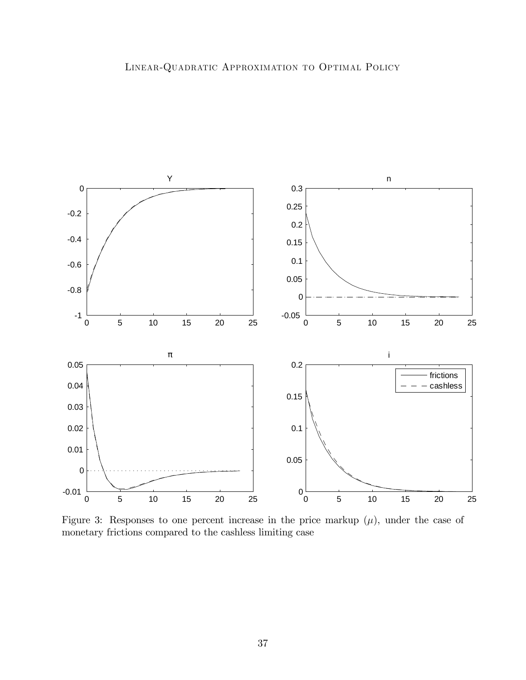

<span id="page-36-0"></span>Figure 3: Responses to one percent increase in the price markup  $(\mu)$ , under the case of monetary frictions compared to the cashless limiting case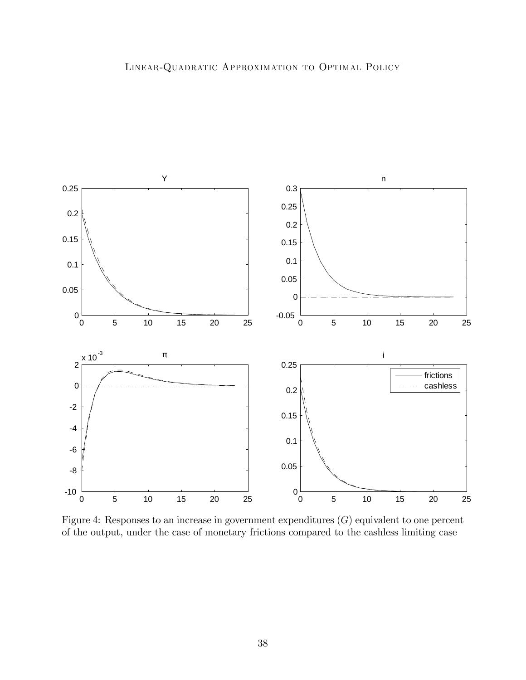

<span id="page-37-0"></span>Figure 4: Responses to an increase in government expenditures  $(G)$  equivalent to one percent of the output, under the case of monetary frictions compared to the cashless limiting case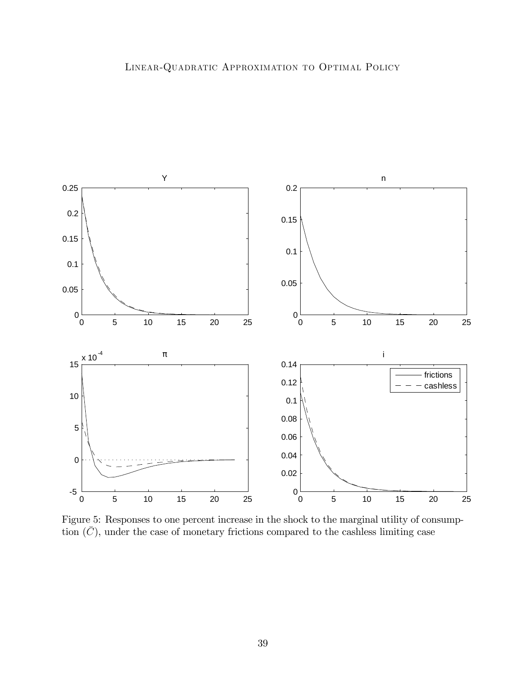

<span id="page-38-0"></span>Figure 5: Responses to one percent increase in the shock to the marginal utility of consumption  $(\bar{C})$ , under the case of monetary frictions compared to the cashless limiting case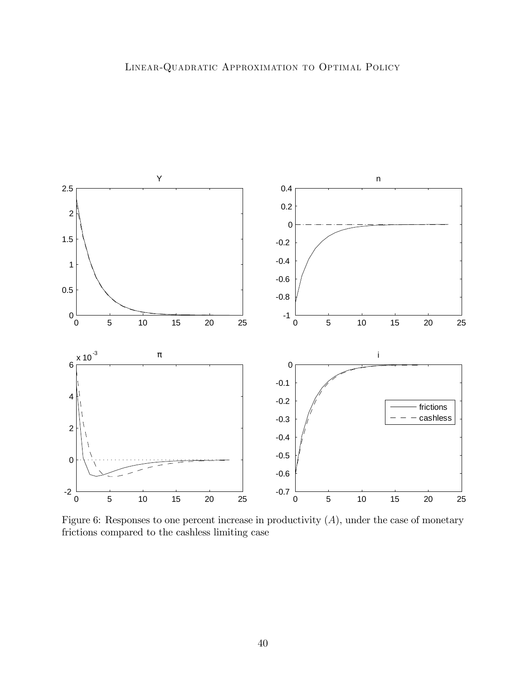

<span id="page-39-0"></span>Figure 6: Responses to one percent increase in productivity  $(A)$ , under the case of monetary frictions compared to the cashless limiting case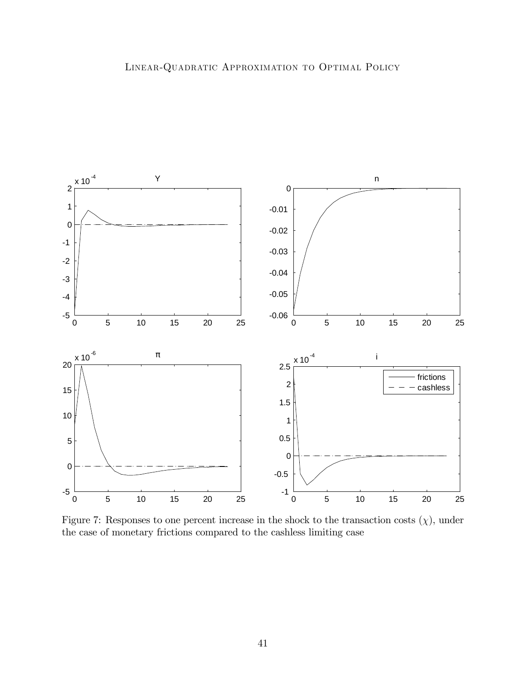

<span id="page-40-0"></span>Figure 7: Responses to one percent increase in the shock to the transaction costs  $(\chi)$ , under the case of monetary frictions compared to the cashless limiting case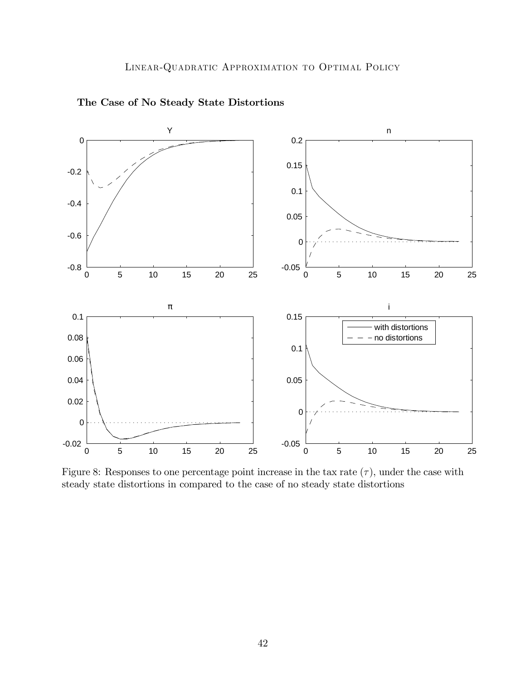

The Case of No Steady State Distortions

<span id="page-41-0"></span>Figure 8: Responses to one percentage point increase in the tax rate  $(\tau)$ , under the case with steady state distortions in compared to the case of no steady state distortions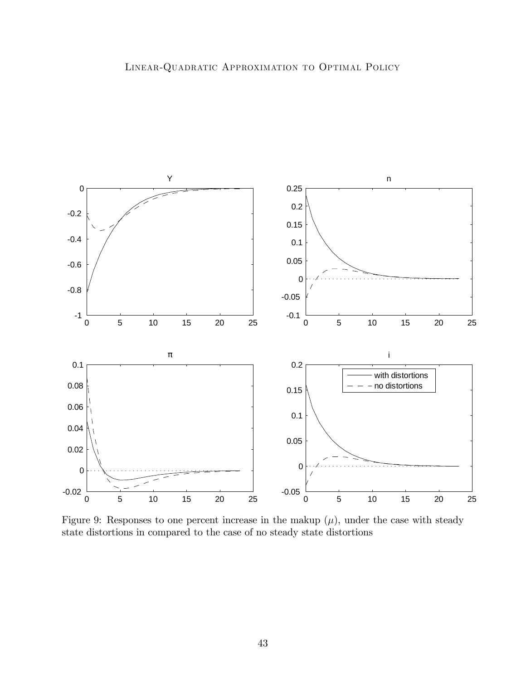

Figure 9: Responses to one percent increase in the makup  $(\mu)$ , under the case with steady state distortions in compared to the case of no steady state distortions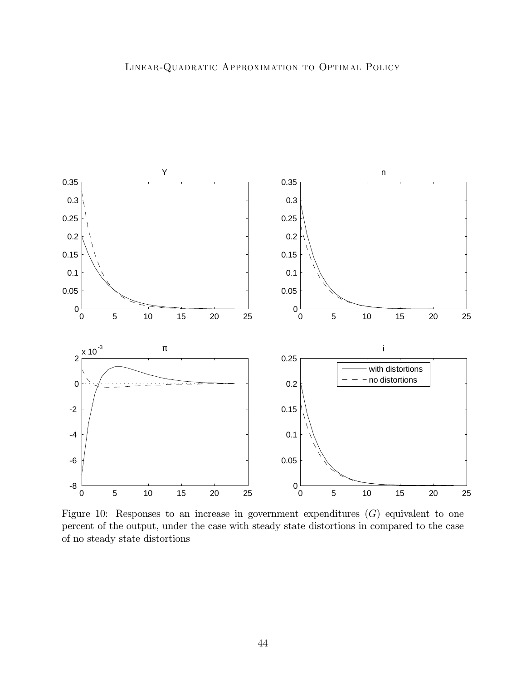

Figure 10: Responses to an increase in government expenditures  $(G)$  equivalent to one percent of the output, under the case with steady state distortions in compared to the case of no steady state distortions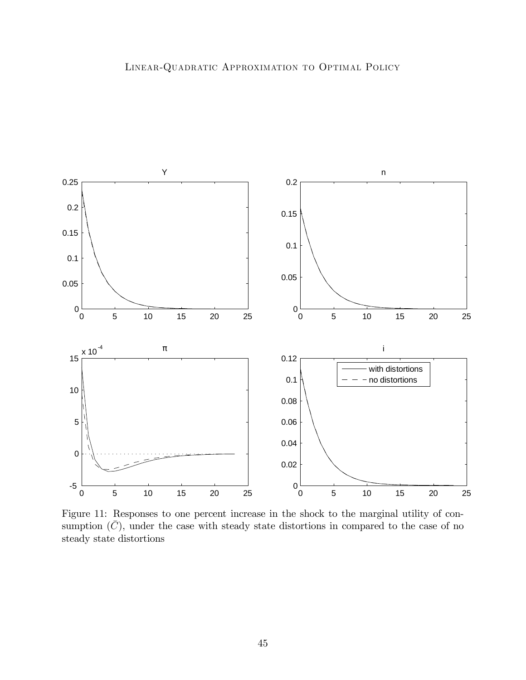

Figure 11: Responses to one percent increase in the shock to the marginal utility of consumption  $(\bar{C})$ , under the case with steady state distortions in compared to the case of no steady state distortions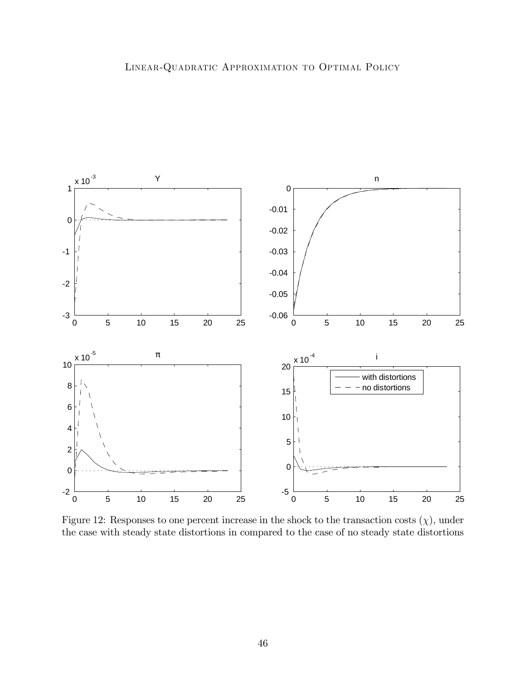

<span id="page-45-0"></span>Figure 12: Responses to one percent increase in the shock to the transaction costs  $(\chi)$ , under the case with steady state distortions in compared to the case of no steady state distortions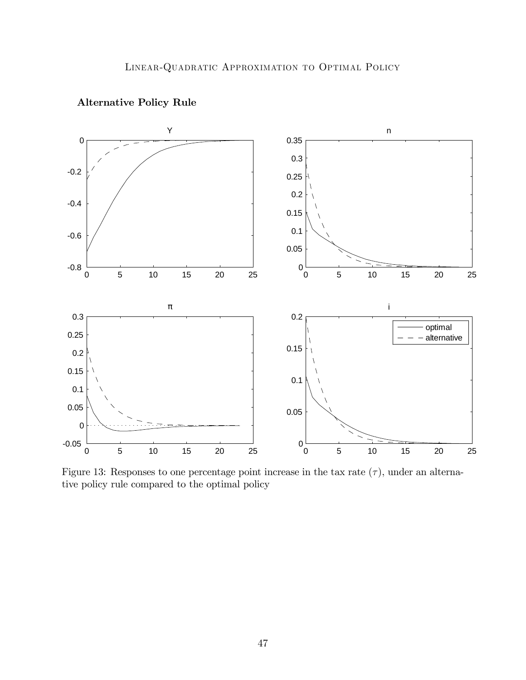

### Alternative Policy Rule

<span id="page-46-0"></span>Figure 13: Responses to one percentage point increase in the tax rate  $(\tau)$ , under an alternative policy rule compared to the optimal policy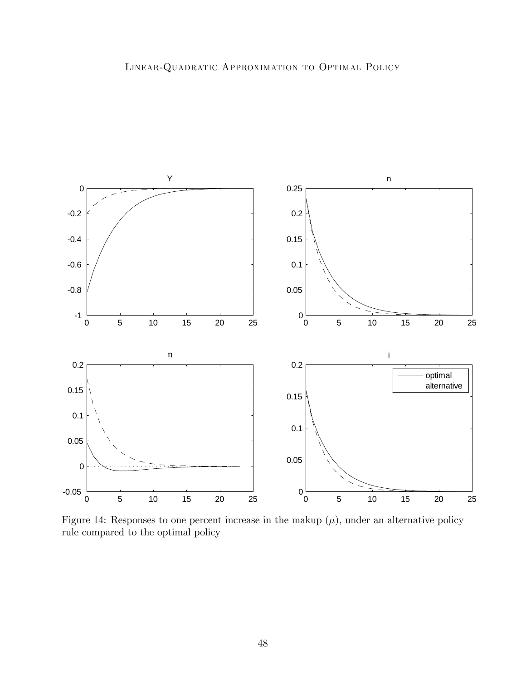

<span id="page-47-0"></span>Figure 14: Responses to one percent increase in the makup  $(\mu)$ , under an alternative policy rule compared to the optimal policy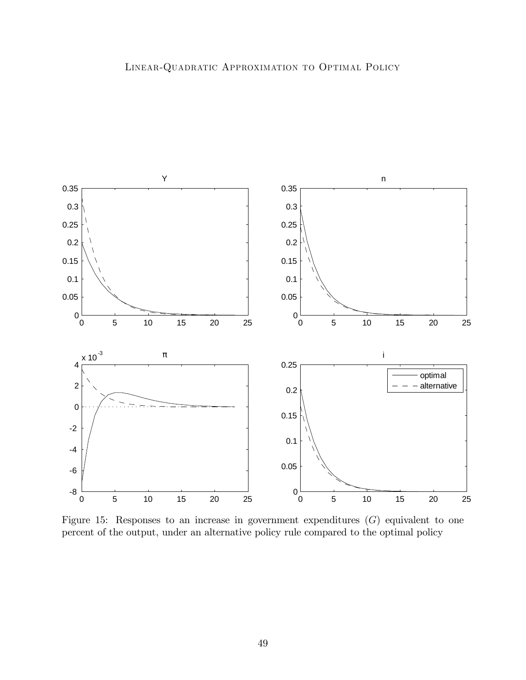

<span id="page-48-0"></span>Figure 15: Responses to an increase in government expenditures  $(G)$  equivalent to one percent of the output, under an alternative policy rule compared to the optimal policy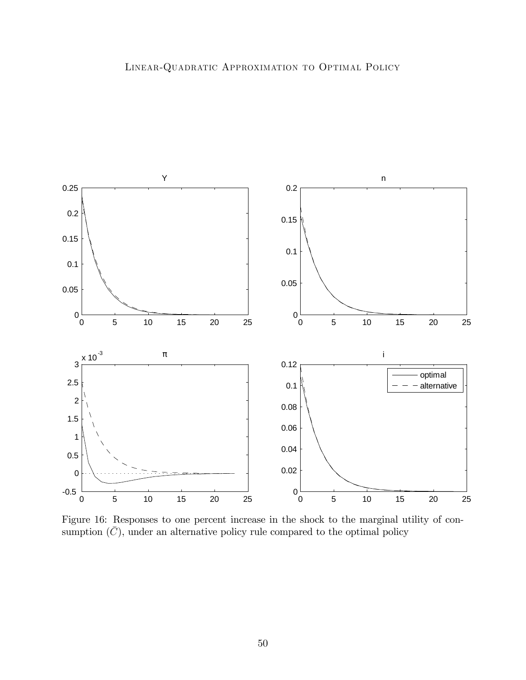

Figure 16: Responses to one percent increase in the shock to the marginal utility of consumption  $(\bar{C})$ , under an alternative policy rule compared to the optimal policy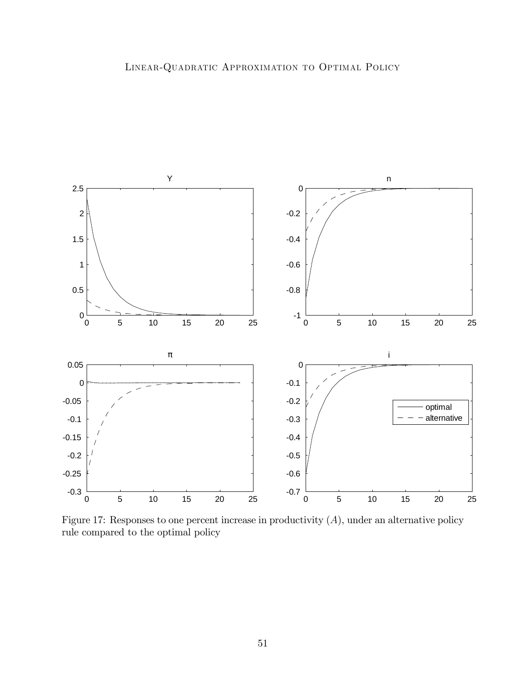

<span id="page-50-0"></span>Figure 17: Responses to one percent increase in productivity  $(A)$ , under an alternative policy rule compared to the optimal policy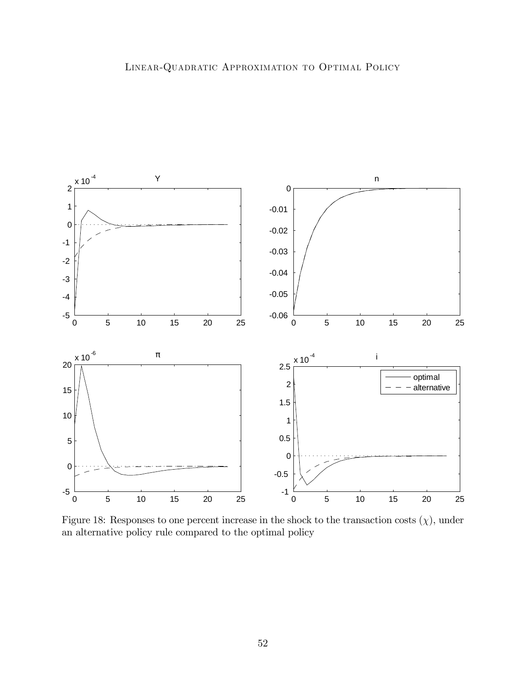

<span id="page-51-0"></span>Figure 18: Responses to one percent increase in the shock to the transaction costs  $(\chi)$ , under an alternative policy rule compared to the optimal policy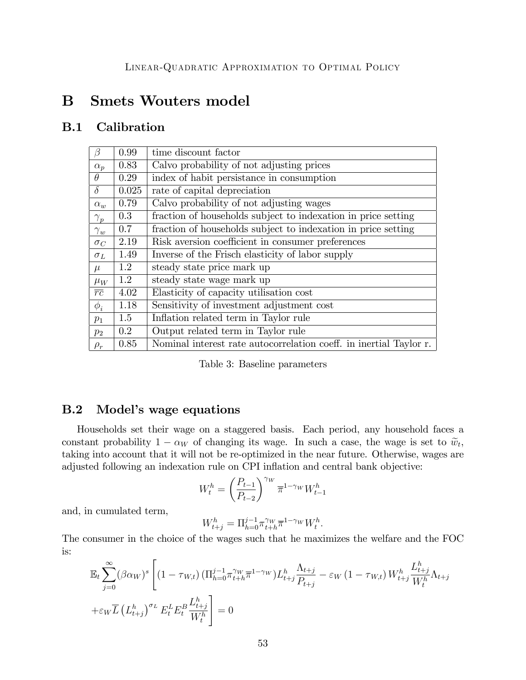# B Smets Wouters model

## B.1 Calibration

| $\beta$         | 0.99    | time discount factor                                               |
|-----------------|---------|--------------------------------------------------------------------|
| $\alpha_p$      | 0.83    | Calvo probability of not adjusting prices                          |
| $\theta$        | 0.29    | index of habit persistance in consumption                          |
| $\delta$        | 0.025   | rate of capital depreciation                                       |
| $\alpha_w$      | 0.79    | Calvo probability of not adjusting wages                           |
| $\gamma_p$      | 0.3     | fraction of households subject to indexation in price setting      |
| $\gamma_w$      | 0.7     | fraction of households subject to indexation in price setting      |
| $\sigma_C$      | 2.19    | Risk aversion coefficient in consumer preferences                  |
| $\sigma_L$      | 1.49    | Inverse of the Frisch elasticity of labor supply                   |
| $\mu$           | 1.2     | steady state price mark up                                         |
| $\mu_W$         | 1.2     | steady state wage mark up                                          |
| $\overline{rc}$ | 4.02    | Elasticity of capacity utilisation cost                            |
| $\phi_i$        | 1.18    | Sensitivity of investment adjustment cost                          |
| $p_1$           | 1.5     | Inflation related term in Taylor rule                              |
| $p_2$           | $0.2\,$ | Output related term in Taylor rule                                 |
| $\rho_r$        | 0.85    | Nominal interest rate autocorrelation coeff. in inertial Taylor r. |

<span id="page-52-1"></span>Table 3: Baseline parameters

### <span id="page-52-0"></span>B.2 Model's wage equations

Households set their wage on a staggered basis. Each period, any household faces a constant probability  $1 - \alpha_W$  of changing its wage. In such a case, the wage is set to  $\tilde{w}_t$ , taking into account that it will not be re-optimized in the near future. Otherwise, wages are adjusted following an indexation rule on CPI inflation and central bank objective:

$$
W_t^h = \left(\frac{P_{t-1}}{P_{t-2}}\right)^{\gamma_W} \overline{\pi}^{1-\gamma_W} W_{t-1}^h
$$

and, in cumulated term,

$$
W_{t+j}^h = \Pi_{h=0}^{j-1} \pi_{t+h}^{\gamma_W} \overline{\pi}^{1-\gamma_W} W_t^h.
$$

The consumer in the choice of the wages such that he maximizes the welfare and the FOC is:

$$
\mathbb{E}_{t} \sum_{j=0}^{\infty} (\beta \alpha_{W})^{s} \left[ (1 - \tau_{W,t}) \left( \prod_{h=0}^{j-1} \pi_{t+h}^{\gamma_{W}} \overline{\pi}^{1-\gamma_{W}} \right) L_{t+j}^{h} \frac{\Lambda_{t+j}}{P_{t+j}} - \varepsilon_{W} \left( 1 - \tau_{W,t} \right) W_{t+j}^{h} \frac{L_{t+j}^{h}}{W_{t}^{h}} \Lambda_{t+j} \right] + \varepsilon_{W} \overline{L} \left( L_{t+j}^{h} \right)^{\sigma_{L}} E_{t}^{L} E_{t}^{B} \frac{L_{t+j}^{h}}{W_{t}^{h}} = 0
$$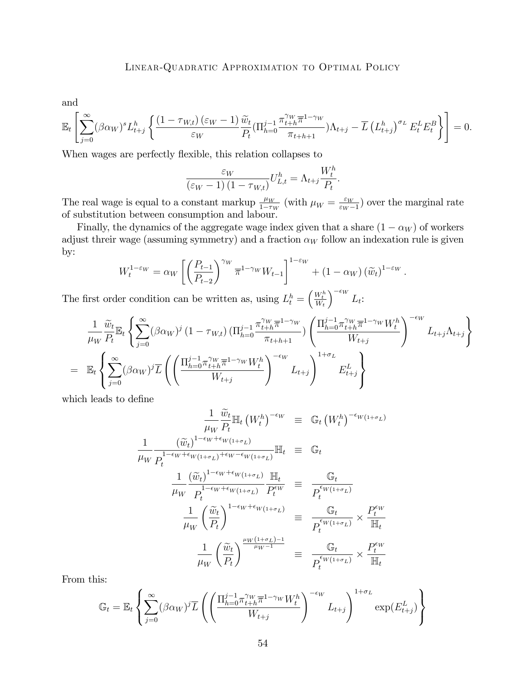and

$$
\mathbb{E}_t\left[\sum_{j=0}^{\infty}(\beta\alpha_W)^sL_{t+j}^h\left\{\frac{(1-\tau_{W,t})\left(\varepsilon_W-1\right)\widetilde{w}_t}{\varepsilon_W}\frac{\widetilde{w}_t}{P_t}(\Pi_{h=0}^{j-1}\frac{\pi_{t+h}^{\gamma_W}\overline{\pi}^{1-\gamma_W}}{\pi_{t+h+1}})\Lambda_{t+j}-\overline{L}\left(L_{t+j}^h\right)^{\sigma_L}E_t^LE_t^B\right\}\right]=0.
$$

When wages are perfectly flexible, this relation collapses to

$$
\frac{\varepsilon_W}{\left(\varepsilon_W - 1\right)\left(1 - \tau_{W,t}\right)} U_{L,t}^h = \Lambda_{t+j} \frac{W_t^h}{P_t}.
$$

The real wage is equal to a constant markup  $\frac{\mu_W}{1-\tau_W}$  (with  $\mu_W = \frac{\varepsilon_W}{\varepsilon_W - \varepsilon_W}$  $\frac{\varepsilon_W}{\varepsilon_W - 1}$  over the marginal rate of substitution between consumption and labour.

Finally, the dynamics of the aggregate wage index given that a share  $(1 - \alpha_W)$  of workers adjust threir wage (assuming symmetry) and a fraction  $\alpha_W$  follow an indexation rule is given by:

$$
W_t^{1-\varepsilon_W} = \alpha_W \left[ \left( \frac{P_{t-1}}{P_{t-2}} \right)^{\gamma_W} \overline{\pi}^{1-\gamma_W} W_{t-1} \right]^{1-\varepsilon_W} + (1-\alpha_W) \left( \widetilde{w}_t \right)^{1-\varepsilon_W}.
$$

The first order condition can be written as, using  $L_t^h = \left(\frac{W_t^h}{W_t}\right)$  $\int$ <sup>- $\epsilon$ </sup>W  $L_t$ :

$$
\frac{1}{\mu_W} \frac{\widetilde{w}_t}{P_t} \mathbb{E}_t \left\{ \sum_{j=0}^{\infty} (\beta \alpha_W)^j (1 - \tau_{W,t}) \left( \prod_{h=0}^{j-1} \frac{\pi_{t+h}^{\gamma_W} \overline{\pi}^{1-\gamma_W}}{\pi_{t+h+1}} \right) \left( \frac{\prod_{h=0}^{j-1} \pi_{t+h}^{\gamma_W} \overline{\pi}^{1-\gamma_W} W_t^h}{W_{t+j}} \right)^{-\epsilon_W} L_{t+j} \Lambda_{t+j} \right\}
$$
\n
$$
= \mathbb{E}_t \left\{ \sum_{j=0}^{\infty} (\beta \alpha_W)^j \overline{L} \left( \left( \frac{\prod_{h=0}^{j-1} \pi_{t+h}^{\gamma_W} \overline{\pi}^{1-\gamma_W} W_t^h}{W_{t+j}} \right)^{-\epsilon_W} L_{t+j} \right)^{1+\sigma_L} E_{t+j}^L \right\}
$$

which leads to define

$$
\frac{1}{\mu_W} \frac{\widetilde{w}_t}{P_t} \mathbb{H}_t (W_t^h)^{-\epsilon_W} \equiv \mathbb{G}_t (W_t^h)^{-\epsilon_W (1+\sigma_L)}
$$
\n
$$
\frac{1}{\mu_W} \frac{(\widetilde{w}_t)^{1-\epsilon_W+\epsilon_W(1+\sigma_L)}}{P_t^{1-\epsilon_W+\epsilon_W(1+\sigma_L)+\epsilon_W-\epsilon_W(1+\sigma_L)}} \mathbb{H}_t \equiv \mathbb{G}_t
$$
\n
$$
\frac{1}{\mu_W} \frac{(\widetilde{w}_t)^{1-\epsilon_W+\epsilon_W(1+\sigma_L)}}{P_t^{1-\epsilon_W+\epsilon_W(1+\sigma_L)}} \frac{\mathbb{H}_t}{P_t^{\epsilon_W}} \equiv \frac{\mathbb{G}_t}{P_t^{\epsilon_W(1+\sigma_L)}}
$$
\n
$$
\frac{1}{\mu_W} \left(\frac{\widetilde{w}_t}{P_t}\right)^{1-\epsilon_W+\epsilon_W(1+\sigma_L)} \equiv \frac{\mathbb{G}_t}{P_t^{\epsilon_W(1+\sigma_L)}} \times \frac{P_t^{\epsilon_W}}{\mathbb{H}_t}
$$
\n
$$
\frac{1}{\mu_W} \left(\frac{\widetilde{w}_t}{P_t}\right)^{\frac{\mu_W(1+\sigma_L)-1}{\mu_W-1}} \equiv \frac{\mathbb{G}_t}{P_t^{\epsilon_W(1+\sigma_L)}} \times \frac{P_t^{\epsilon_W}}{\mathbb{H}_t}
$$

From this:

$$
\mathbb{G}_t = \mathbb{E}_t \left\{ \sum_{j=0}^{\infty} (\beta \alpha_W)^j \overline{L} \left( \left( \frac{\prod_{h=0}^{j-1} \pi_{t+h}^{\gamma_W} \overline{\pi}^{1-\gamma_W} W_t^h}{W_{t+j}} \right)^{-\epsilon_W} L_{t+j} \right)^{1+\sigma_L} \exp(E_{t+j}^L) \right\}
$$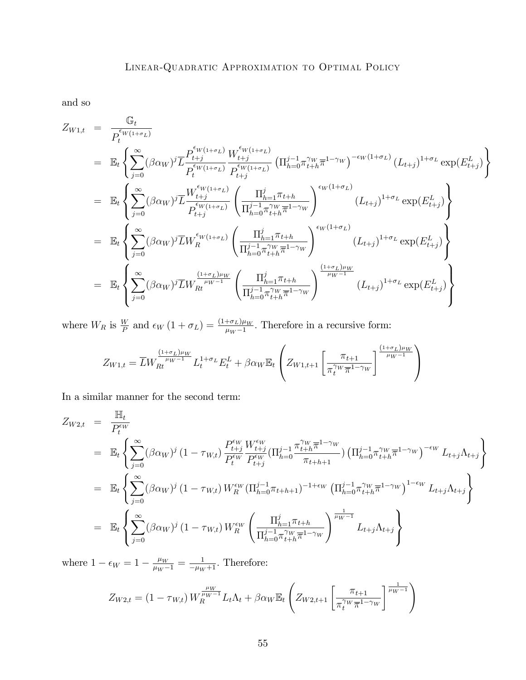and so

$$
Z_{W1,t} = \frac{\mathbb{G}_{t}}{P_{t}^{\epsilon_{W(1+\sigma_{L})}}} \\
= \mathbb{E}_{t} \left\{ \sum_{j=0}^{\infty} (\beta \alpha_{W})^{j} \overline{L} \frac{P_{t+j}^{\epsilon_{W(1+\sigma_{L})}} W_{t+j}^{\epsilon_{W(1+\sigma_{L})}}}{P_{t+j}^{\epsilon_{W(1+\sigma_{L})}} P_{t+j}^{\epsilon_{W(1+\sigma_{L})}} \left( \Pi_{h=0}^{j-1} \pi_{t+h}^{\gamma_{W}} \overline{\pi}^{1-\gamma_{W}} \right)^{-\epsilon_{W}(1+\sigma_{L})} (L_{t+j})^{1+\sigma_{L}} \exp(E_{t+j}^{L}) \right\} \\
= \mathbb{E}_{t} \left\{ \sum_{j=0}^{\infty} (\beta \alpha_{W})^{j} \overline{L} \frac{W_{t+j}^{\epsilon_{W(1+\sigma_{L})}}}{P_{t+j}^{\epsilon_{W(1+\sigma_{L})}} \left( \Pi_{h=0}^{j-1} \pi_{t+h}^{\gamma_{W}} \overline{\pi}^{1-\gamma_{W}} \right)^{\epsilon_{W}(1+\sigma_{L})} (L_{t+j})^{1+\sigma_{L}} \exp(E_{t+j}^{L}) \right\} \\
= \mathbb{E}_{t} \left\{ \sum_{j=0}^{\infty} (\beta \alpha_{W})^{j} \overline{L} W_{R}^{\epsilon_{W(1+\sigma_{L})}} \left( \frac{\Pi_{h=1}^{j} \pi_{t+h}}{\Pi_{h=0}^{j-1} \pi_{t+h}^{\gamma_{W}} \overline{\pi}^{1-\gamma_{W}}} \right)^{\epsilon_{W}(1+\sigma_{L})} (L_{t+j})^{1+\sigma_{L}} \exp(E_{t+j}^{L}) \right\} \\
= \mathbb{E}_{t} \left\{ \sum_{j=0}^{\infty} (\beta \alpha_{W})^{j} \overline{L} W_{Rt}^{\frac{(1+\sigma_{L})\mu_{W}}{\mu_{W}-1}} \left( \frac{\Pi_{h=1}^{j} \pi_{t+h}}{\Pi_{h=0}^{j-1} \pi_{t+h}^{\gamma_{W}} \overline{\pi}^{1-\gamma_{W}}} \right)^{\frac{(1+\sigma_{L})\mu_{W}}{\mu_{W}-1}} (L_{t+j})^{1+\sigma_{L}} \exp(E_{t+j}^{L}) \right\} \\
= \mathbb{E}_{t} \left\{ \sum_{j=0}^
$$

where  $W_R$  is  $\frac{W}{P}$  and  $\epsilon_W (1 + \sigma_L) = \frac{(1 + \sigma_L)\mu_W}{\mu_W - 1}$ . Therefore in a recursive form:

$$
Z_{W1,t} = \overline{L}W_{Rt}^{\frac{(1+\sigma_L)\mu_W}{\mu_W - 1}}L_t^{1+\sigma_L}E_t^L + \beta\alpha_W \mathbb{E}_t \left(Z_{W1,t+1}\left[\frac{\pi_{t+1}}{\pi_t^{\gamma_W} \overline{\pi}^{1-\gamma_W}}\right]^{\frac{(1+\sigma_L)\mu_W}{\mu_W - 1}}\right)
$$

In a similar manner for the second term:

$$
Z_{W2,t} = \frac{\mathbb{H}_{t}}{P_{t}^{\epsilon_{W}}}
$$
  
\n
$$
= \mathbb{E}_{t} \left\{ \sum_{j=0}^{\infty} (\beta \alpha_{W})^{j} (1 - \tau_{W,t}) \frac{P_{t+j}^{\epsilon_{W}} W_{t+j}^{\epsilon_{W}}}{P_{t+j}^{\epsilon_{W}}} (\Pi_{h=0}^{j-1} \frac{\pi_{t+h}^{\gamma_{W}} \overline{\pi}^{1-\gamma_{W}}}{\pi_{t+h+1}}) (\Pi_{h=0}^{j-1} \pi_{t+h}^{\gamma_{W}} \overline{\pi}^{1-\gamma_{W}})^{-\epsilon_{W}} L_{t+j} \Lambda_{t+j} \right\}
$$
  
\n
$$
= \mathbb{E}_{t} \left\{ \sum_{j=0}^{\infty} (\beta \alpha_{W})^{j} (1 - \tau_{W,t}) W_{R}^{\epsilon_{W}} (\Pi_{h=0}^{j-1} \pi_{t+h+1})^{-1+\epsilon_{W}} (\Pi_{h=0}^{j-1} \pi_{t+h}^{\gamma_{W}} \overline{\pi}^{1-\gamma_{W}})^{1-\epsilon_{W}} L_{t+j} \Lambda_{t+j} \right\}
$$
  
\n
$$
= \mathbb{E}_{t} \left\{ \sum_{j=0}^{\infty} (\beta \alpha_{W})^{j} (1 - \tau_{W,t}) W_{R}^{\epsilon_{W}} \left( \frac{\Pi_{h=1}^{j} \pi_{t+h}}{\Pi_{h=0}^{j-1} \pi_{t+h}^{\gamma_{W}} \pi^{1-\gamma_{W}}} \right)^{\frac{1}{\mu_{W}-1}} L_{t+j} \Lambda_{t+j} \right\}
$$

where  $1 - \epsilon_W = 1 - \frac{\mu_W}{\mu_W - 1} = \frac{1}{-\mu_W + 1}$ . Therefore:

$$
Z_{W2,t} = (1 - \tau_{W,t}) W_R^{\frac{\mu_W}{\mu_W - 1}} L_t \Lambda_t + \beta \alpha_W \mathbb{E}_t \left( Z_{W2,t+1} \left[ \frac{\pi_{t+1}}{\pi_t^{\gamma_W} \overline{\pi}^{1 - \gamma_W}} \right]^{\frac{1}{\mu_W - 1}} \right)
$$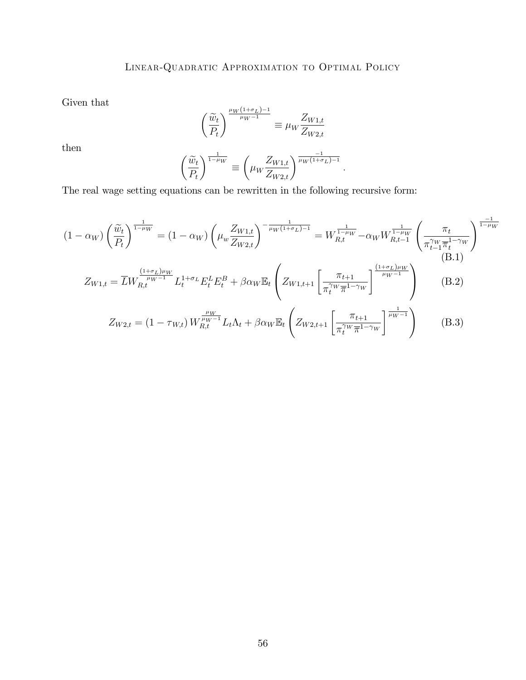Given that

$$
\left(\frac{\widetilde{w}_t}{P_t}\right)^{\frac{\mu_W(1+\sigma_L)-1}{\mu_W-1}} \equiv \mu_W \frac{Z_{W1,t}}{Z_{W2,t}}
$$

then

$$
\left(\frac{\widetilde{w}_t}{P_t}\right)^{\frac{1}{1-\mu_W}} \equiv \left(\mu_W \frac{Z_{W1,t}}{Z_{W2,t}}\right)^{\frac{-1}{\mu_W(1+\sigma_L)-1}}.
$$

The real wage setting equations can be rewritten in the following recursive form:

$$
(1 - \alpha_W) \left(\frac{\tilde{w}_t}{P_t}\right)^{\frac{1}{1 - \mu_W}} = (1 - \alpha_W) \left(\mu_w \frac{Z_{W1,t}}{Z_{W2,t}}\right)^{-\frac{1}{\mu_W (1 + \sigma_L) - 1}} = W_{R,t}^{\frac{1}{1 - \mu_W}} - \alpha_W W_{R,t-1}^{\frac{1}{1 - \mu_W}} \left(\frac{\pi_t}{\pi_{t-1}^{\gamma_W} \pi_t^{1 - \gamma_W}}\right)^{\frac{-1}{1 - \mu_W}}
$$
\n(B.1)\n
$$
Z_{W1,t} = \overline{L} W_{R,t}^{\frac{(1 + \sigma_L)\mu_W}{\mu_W - 1}} L_t^{1 + \sigma_L} E_t^L E_t^B + \beta \alpha_W \mathbb{E}_t \left(Z_{W1,t+1} \left[\frac{\pi_{t+1}}{\pi_t^{\gamma_W} \pi_{1 - \gamma_W}}\right]^{\frac{(1 + \sigma_L)\mu_W}{\mu_W - 1}}\right)
$$
\n(B.2)\n
$$
Z_{W2,t} = (1 - \tau_{W,t}) W_{R,t}^{\frac{\mu_W}{\mu_W - 1}} L_t \Lambda_t + \beta \alpha_W \mathbb{E}_t \left(Z_{W2,t+1} \left[\frac{\pi_{t+1}}{\pi_t^{\gamma_W} \pi_{1 - \gamma_W}}\right]^{\frac{1}{\mu_W - 1}}\right)
$$
\n(B.3)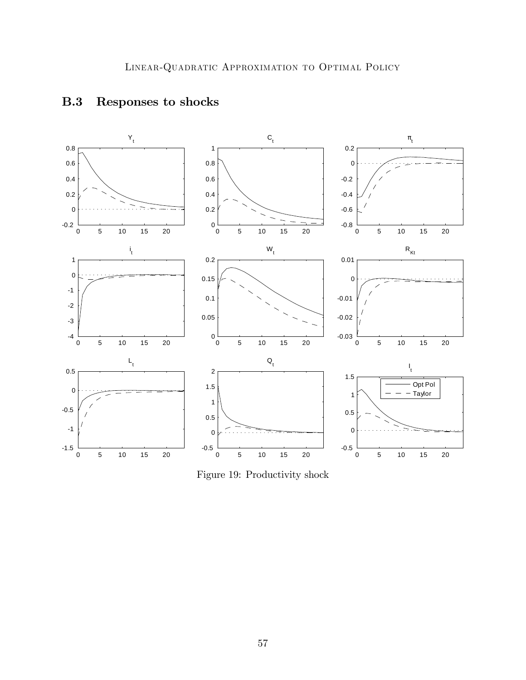

# B.3 Responses to shocks

<span id="page-56-0"></span>Figure 19: Productivity shock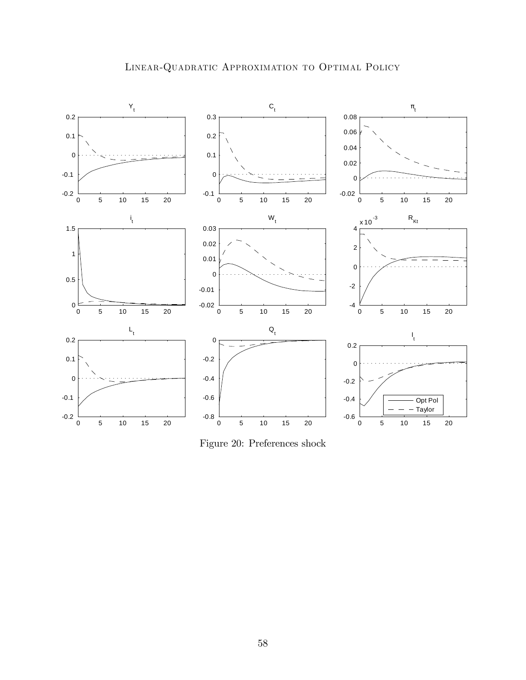



<span id="page-57-0"></span>Figure 20: Preferences shock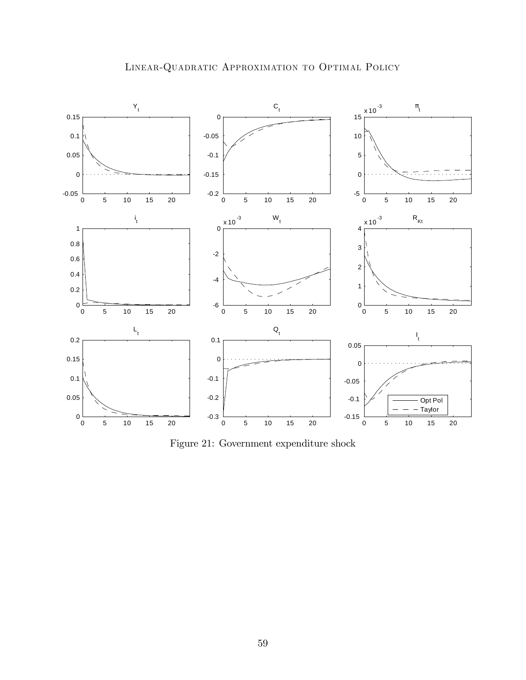

<span id="page-58-0"></span>Figure 21: Government expenditure shock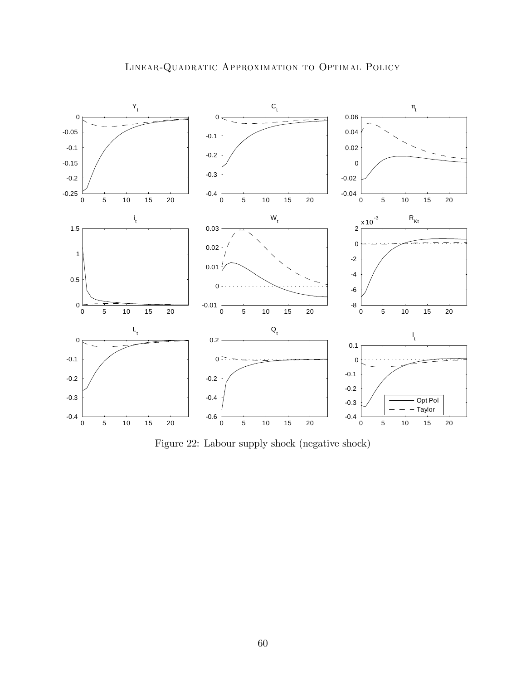

<span id="page-59-0"></span>Figure 22: Labour supply shock (negative shock)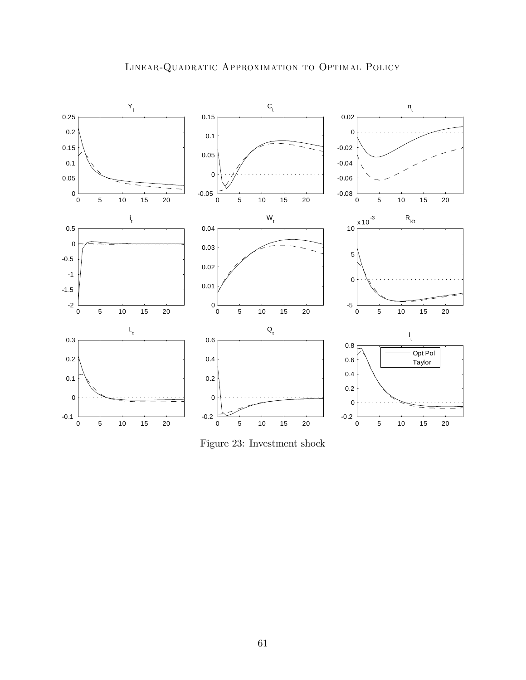



<span id="page-60-0"></span>Figure 23: Investment shock